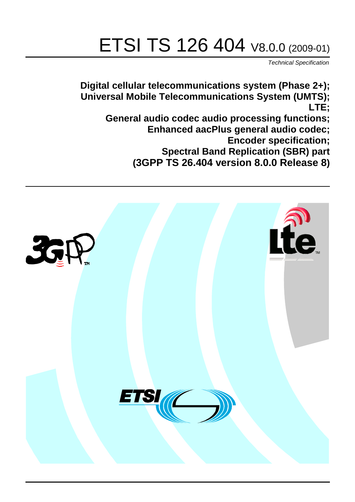# ETSI TS 126 404 V8.0.0 (2009-01)

*Technical Specification*

**Digital cellular telecommunications system (Phase 2+); Universal Mobile Telecommunications System (UMTS); LTE;**

**General audio codec audio processing functions; Enhanced aacPlus general audio codec; Encoder specification;**

**Spectral Band Replication (SBR) part** 

**(3GPP TS 26.404 version 8.0.0 Release 8)**

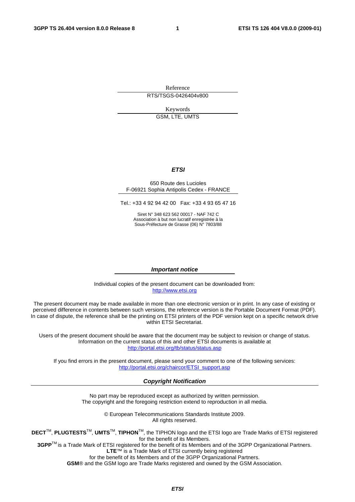Reference RTS/TSGS-0426404v800

Keywords

GSM, LTE, UMTS

#### *ETSI*

#### 650 Route des Lucioles F-06921 Sophia Antipolis Cedex - FRANCE

Tel.: +33 4 92 94 42 00 Fax: +33 4 93 65 47 16

Siret N° 348 623 562 00017 - NAF 742 C Association à but non lucratif enregistrée à la Sous-Préfecture de Grasse (06) N° 7803/88

#### *Important notice*

Individual copies of the present document can be downloaded from: [http://www.etsi.org](http://www.etsi.org/)

The present document may be made available in more than one electronic version or in print. In any case of existing or perceived difference in contents between such versions, the reference version is the Portable Document Format (PDF). In case of dispute, the reference shall be the printing on ETSI printers of the PDF version kept on a specific network drive within ETSI Secretariat.

Users of the present document should be aware that the document may be subject to revision or change of status. Information on the current status of this and other ETSI documents is available at <http://portal.etsi.org/tb/status/status.asp>

If you find errors in the present document, please send your comment to one of the following services: [http://portal.etsi.org/chaircor/ETSI\\_support.asp](http://portal.etsi.org/chaircor/ETSI_support.asp)

#### *Copyright Notification*

No part may be reproduced except as authorized by written permission. The copyright and the foregoing restriction extend to reproduction in all media.

> © European Telecommunications Standards Institute 2009. All rights reserved.

**DECT**TM, **PLUGTESTS**TM, **UMTS**TM, **TIPHON**TM, the TIPHON logo and the ETSI logo are Trade Marks of ETSI registered for the benefit of its Members.

**3GPP**TM is a Trade Mark of ETSI registered for the benefit of its Members and of the 3GPP Organizational Partners. **LTE**™ is a Trade Mark of ETSI currently being registered

for the benefit of its Members and of the 3GPP Organizational Partners.

**GSM**® and the GSM logo are Trade Marks registered and owned by the GSM Association.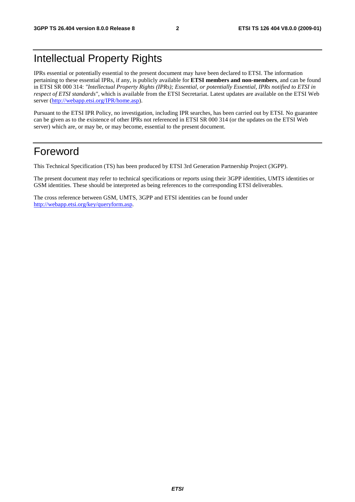# Intellectual Property Rights

IPRs essential or potentially essential to the present document may have been declared to ETSI. The information pertaining to these essential IPRs, if any, is publicly available for **ETSI members and non-members**, and can be found in ETSI SR 000 314: *"Intellectual Property Rights (IPRs); Essential, or potentially Essential, IPRs notified to ETSI in respect of ETSI standards"*, which is available from the ETSI Secretariat. Latest updates are available on the ETSI Web server (<http://webapp.etsi.org/IPR/home.asp>).

Pursuant to the ETSI IPR Policy, no investigation, including IPR searches, has been carried out by ETSI. No guarantee can be given as to the existence of other IPRs not referenced in ETSI SR 000 314 (or the updates on the ETSI Web server) which are, or may be, or may become, essential to the present document.

## Foreword

This Technical Specification (TS) has been produced by ETSI 3rd Generation Partnership Project (3GPP).

The present document may refer to technical specifications or reports using their 3GPP identities, UMTS identities or GSM identities. These should be interpreted as being references to the corresponding ETSI deliverables.

The cross reference between GSM, UMTS, 3GPP and ETSI identities can be found under <http://webapp.etsi.org/key/queryform.asp>.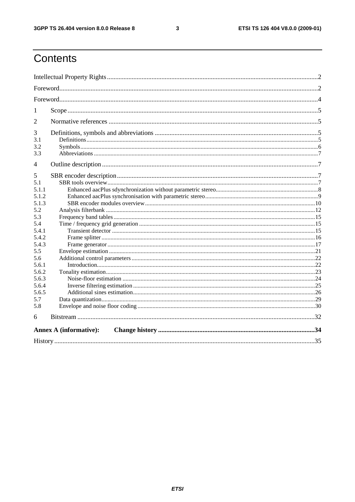$\mathbf{3}$ 

# Contents

| 1                      |                               |  |  |  |  |  |  |
|------------------------|-------------------------------|--|--|--|--|--|--|
| $\overline{2}$         |                               |  |  |  |  |  |  |
| 3<br>3.1<br>3.2<br>3.3 |                               |  |  |  |  |  |  |
| 4                      |                               |  |  |  |  |  |  |
| 5<br>5.1<br>5.1.1      |                               |  |  |  |  |  |  |
| 5.1.2                  |                               |  |  |  |  |  |  |
| 5.1.3                  |                               |  |  |  |  |  |  |
| 5.2<br>5.3             |                               |  |  |  |  |  |  |
| 5.4                    |                               |  |  |  |  |  |  |
| 5.4.1                  |                               |  |  |  |  |  |  |
| 5.4.2                  |                               |  |  |  |  |  |  |
| 5.4.3                  |                               |  |  |  |  |  |  |
| 5.5                    |                               |  |  |  |  |  |  |
| 5.6                    |                               |  |  |  |  |  |  |
| 5.6.1                  |                               |  |  |  |  |  |  |
| 5.6.2                  |                               |  |  |  |  |  |  |
| 5.6.3                  |                               |  |  |  |  |  |  |
| 5.6.4<br>5.6.5         |                               |  |  |  |  |  |  |
| 5.7                    |                               |  |  |  |  |  |  |
| 5.8                    |                               |  |  |  |  |  |  |
| 6                      |                               |  |  |  |  |  |  |
|                        |                               |  |  |  |  |  |  |
|                        | <b>Annex A (informative):</b> |  |  |  |  |  |  |
|                        |                               |  |  |  |  |  |  |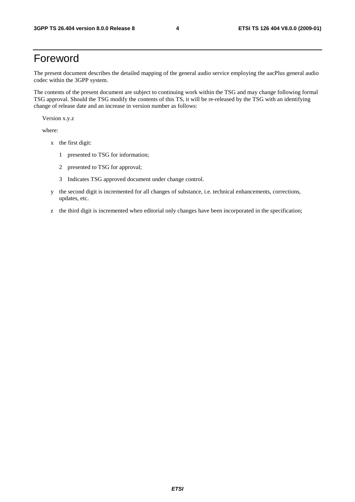# Foreword

The present document describes the detailed mapping of the general audio service employing the aacPlus general audio codec within the 3GPP system.

The contents of the present document are subject to continuing work within the TSG and may change following formal TSG approval. Should the TSG modify the contents of this TS, it will be re-released by the TSG with an identifying change of release date and an increase in version number as follows:

Version x.y.z

where:

- x the first digit:
	- 1 presented to TSG for information;
	- 2 presented to TSG for approval;
	- 3 Indicates TSG approved document under change control.
- y the second digit is incremented for all changes of substance, i.e. technical enhancements, corrections, updates, etc.
- z the third digit is incremented when editorial only changes have been incorporated in the specification;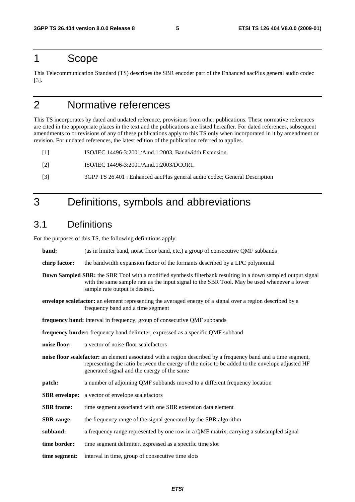### 1 Scope

This Telecommunication Standard (TS) describes the SBR encoder part of the Enhanced aacPlus general audio codec [3].

# 2 Normative references

This TS incorporates by dated and undated reference, provisions from other publications. These normative references are cited in the appropriate places in the text and the publications are listed hereafter. For dated references, subsequent amendments to or revisions of any of these publications apply to this TS only when incorporated in it by amendment or revision. For undated references, the latest edition of the publication referred to applies.

[1] ISO/IEC 14496-3:2001/Amd.1:2003, Bandwidth Extension.

- [2] ISO/IEC 14496-3:2001/Amd.1:2003/DCOR1.
- [3] 3GPP TS 26.401 : Enhanced aacPlus general audio codec; General Description

# 3 Definitions, symbols and abbreviations

### 3.1 Definitions

For the purposes of this TS, the following definitions apply:

| band:                                                                                                                                                                                                                                                 | (as in limiter band, noise floor band, etc.) a group of consecutive QMF subbands                                                                                                                                                                                |  |  |  |  |  |
|-------------------------------------------------------------------------------------------------------------------------------------------------------------------------------------------------------------------------------------------------------|-----------------------------------------------------------------------------------------------------------------------------------------------------------------------------------------------------------------------------------------------------------------|--|--|--|--|--|
| chirp factor:                                                                                                                                                                                                                                         | the bandwidth expansion factor of the formants described by a LPC polynomial                                                                                                                                                                                    |  |  |  |  |  |
| <b>Down Sampled SBR:</b> the SBR Tool with a modified synthesis filterbank resulting in a down sampled output signal<br>with the same sample rate as the input signal to the SBR Tool. May be used whenever a lower<br>sample rate output is desired. |                                                                                                                                                                                                                                                                 |  |  |  |  |  |
| <b>envelope scalefactor:</b> an element representing the averaged energy of a signal over a region described by a<br>frequency band and a time segment                                                                                                |                                                                                                                                                                                                                                                                 |  |  |  |  |  |
| frequency band: interval in frequency, group of consecutive QMF subbands                                                                                                                                                                              |                                                                                                                                                                                                                                                                 |  |  |  |  |  |
|                                                                                                                                                                                                                                                       | frequency border: frequency band delimiter, expressed as a specific QMF subband                                                                                                                                                                                 |  |  |  |  |  |
| noise floor:<br>a vector of noise floor scalefactors                                                                                                                                                                                                  |                                                                                                                                                                                                                                                                 |  |  |  |  |  |
|                                                                                                                                                                                                                                                       | noise floor scalefactor: an element associated with a region described by a frequency band and a time segment,<br>representing the ratio between the energy of the noise to be added to the envelope adjusted HF<br>generated signal and the energy of the same |  |  |  |  |  |
| patch:                                                                                                                                                                                                                                                | a number of adjoining QMF subbands moved to a different frequency location                                                                                                                                                                                      |  |  |  |  |  |
|                                                                                                                                                                                                                                                       | <b>SBR</b> envelope: a vector of envelope scalefactors                                                                                                                                                                                                          |  |  |  |  |  |
| <b>SBR</b> frame:                                                                                                                                                                                                                                     | time segment associated with one SBR extension data element                                                                                                                                                                                                     |  |  |  |  |  |
| <b>SBR</b> range:                                                                                                                                                                                                                                     | the frequency range of the signal generated by the SBR algorithm                                                                                                                                                                                                |  |  |  |  |  |
| subband:                                                                                                                                                                                                                                              | a frequency range represented by one row in a QMF matrix, carrying a subsampled signal                                                                                                                                                                          |  |  |  |  |  |
| time border:                                                                                                                                                                                                                                          | time segment delimiter, expressed as a specific time slot                                                                                                                                                                                                       |  |  |  |  |  |
| time segment:                                                                                                                                                                                                                                         | interval in time, group of consecutive time slots                                                                                                                                                                                                               |  |  |  |  |  |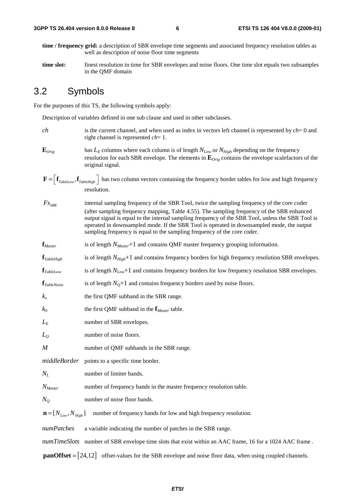- **time / frequency grid:** a description of SBR envelope time segments and associated frequency resolution tables as well as description of noise floor time segments
- **time slot:** finest resolution in time for SBR envelopes and noise floors. One time slot equals two subsamples in the QMF domain

#### 3.2 Symbols

For the purposes of this TS, the following symbols apply:

Description of variables defined in one sub clause and used in other subclasses.

- *ch* is the current channel, and when used as index in vectors left channel is represented by *ch*= 0 and right channel is represented *ch*= 1.
- $\mathbf{E}_{Orig}$  has  $L_E$  columns where each column is of length  $N_{Low}$  or  $N_{High}$  depending on the frequency resolution for each SBR envelope. The elements in **E***Orig* contains the envelope scalefactors of the original signal.
- $\mathbf{F} = \left| \mathbf{f}_{\text{TableLow}} , \mathbf{f}_{\text{TableHich}} \right|$  has two column vectors containing the frequency border tables for low and high frequency resolution.
- *FS<sub>SRR</sub>* internal sampling frequency of the SBR Tool, twice the sampling frequency of the core coder (after sampling frequency mapping, Table 4.55). The sampling frequency of the SBR enhanced output signal is equal to the internal sampling frequency of the SBR Tool, unless the SBR Tool is operated in downsampled mode. If the SBR Tool is operated in downsampled mode, the output sampling frequency is equal to the sampling frequency of the core coder.
- **f**<sub>*Master*</sub> is of length *N*<sub>*Master*</sub>+1 and contains QMF master frequency grouping information.
- **f**<sub>*TableHigh* is of length  $N_{High}+1$  and contains frequency borders for high frequency resolution SBR envelopes.</sub>
- **f***TableLow* is of length *NLow*+1 and contains frequency borders for low frequency resolution SBR envelopes.
- $f_{\text{TableNoise}}$  is of length  $N_{\text{O}}+1$  and contains frequency borders used by noise floors.
- $k_x$  the first QMF subband in the SBR range.
- *k0* the first QMF subband in the **f***Master* table.
- *L<sub>E</sub>* number of SBR envelopes.
- *L*<sub>O</sub> number of noise floors.
- *M* number of QMF subbands in the SBR range.
- *middleBorder* points to a specific time border.
- *N<sub>L</sub>* number of limiter bands.
- *N<sub>Master</sub>* number of frequency bands in the master frequency resolution table.
- *N<sub>O</sub>* number of noise floor bands.

 $\mathbf{n} = [N_{low}, N_{High}]$  number of frequency bands for low and high frequency resolution.

*numPatches* a variable indicating the number of patches in the SBR range.

*numTimeSlots* number of SBR envelope time slots that exist within an AAC frame, 16 for a 1024 AAC frame.

**panOffset** =  $\begin{bmatrix} 24,12 \end{bmatrix}$  offset-values for the SBR envelope and noise floor data, when using coupled channels.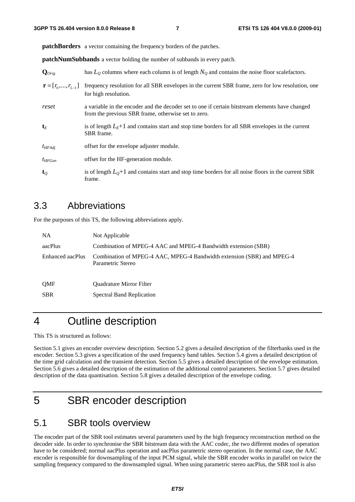**patchBorders** a vector containing the frequency borders of the patches.

**patchNumSubbands** a vector holding the number of subbands in every patch.

| $\mathbf{Q}_{Orig}$             | has $L_0$ columns where each column is of length $N_0$ and contains the noise floor scale factors.                                                     |
|---------------------------------|--------------------------------------------------------------------------------------------------------------------------------------------------------|
| $\mathbf{r} = [r_0, , r_{L-1}]$ | frequency resolution for all SBR envelopes in the current SBR frame, zero for low resolution, one<br>for high resolution.                              |
| reset                           | a variable in the encoder and the decoder set to one if certain bitstream elements have changed<br>from the previous SBR frame, otherwise set to zero. |
| $\mathbf{t}_E$                  | is of length $LE+1$ and contains start and stop time borders for all SBR envelopes in the current<br>SBR frame.                                        |
| $t_{HFAdi}$                     | offset for the envelope adjuster module.                                                                                                               |
| $t_{HFGen}$                     | offset for the HF-generation module.                                                                                                                   |
| $\mathbf{t}_o$                  | is of length $L_0+1$ and contains start and stop time borders for all noise floors in the current SBR<br>frame.                                        |

#### 3.3 Abbreviations

For the purposes of this TS, the following abbreviations apply.

| <b>NA</b>        | Not Applicable                                                                              |
|------------------|---------------------------------------------------------------------------------------------|
| aacPlus          | Combination of MPEG-4 AAC and MPEG-4 Bandwidth extension (SBR)                              |
| Enhanced aacPlus | Combination of MPEG-4 AAC, MPEG-4 Bandwidth extension (SBR) and MPEG-4<br>Parametric Stereo |
| <b>OMF</b>       | <b>Ouadrature Mirror Filter</b>                                                             |
| <b>SBR</b>       | Spectral Band Replication                                                                   |

# 4 Outline description

This TS is structured as follows:

Section 5.1 gives an encoder overview description. Section 5.2 gives a detailed description of the filterbanks used in the encoder. Section 5.3 gives a specification of the used frequency band tables. Section 5.4 gives a detailed description of the time grid calculation and the transient detection. Section 5.5 gives a detailed description of the envelope estimation. Section 5.6 gives a detailed description of the estimation of the additional control parameters. Section 5.7 gives detailed description of the data quantisation. Section 5.8 gives a detailed description of the envelope coding.

# 5 SBR encoder description

#### 5.1 SBR tools overview

The encoder part of the SBR tool estimates several parameters used by the high frequency reconstruction method on the decoder side. In order to synchronise the SBR bitstream data with the AAC codec, the two different modes of operation have to be considered; normal aacPlus operation and aacPlus parametric stereo operation. In the normal case, the AAC encoder is responsible for downsampling of the input PCM signal, while the SBR encoder works in parallel on twice the sampling frequency compared to the downsampled signal. When using parametric stereo aacPlus, the SBR tool is also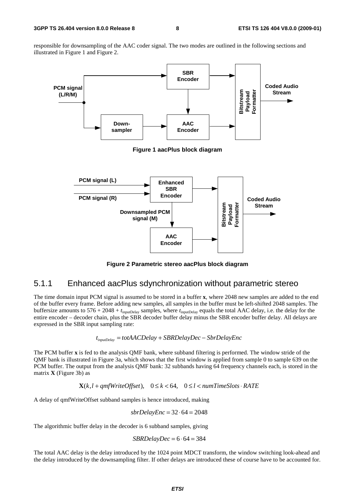responsible for downsampling of the AAC coder signal. The two modes are outlined in the following sections and illustrated in Figure 1 and Figure 2.



**Figure 2 Parametric stereo aacPlus block diagram** 

#### 5.1.1 Enhanced aacPlus sdynchronization without parametric stereo

The time domain input PCM signal is assumed to be stored in a buffer **x**, where 2048 new samples are added to the end of the buffer every frame. Before adding new samples, all samples in the buffer must be left-shifted 2048 samples. The buffersize amounts to 576 + 2048 + *t*inputDelay samples, where *t*inputDelay equals the total AAC delay, i.e. the delay for the entire encoder – decoder chain, plus the SBR decoder buffer delay minus the SBR encoder buffer delay. All delays are expressed in the SBR input sampling rate:

$$
t_{inputDelay} = totAACDelay + SBRDelayDec - SbrDelayEnc
$$

The PCM buffer **x** is fed to the analysis QMF bank, where subband filtering is performed. The window stride of the QMF bank is illustrated in Figure 3a, which shows that the first window is applied from sample 0 to sample 639 on the PCM buffer. The output from the analysis QMF bank: 32 subbands having 64 frequency channels each, is stored in the matrix **X** (Figure 3b) as

 $\mathbf{X}(k, l+qmfWriteOffset), \quad 0 \leq k < 64, \quad 0 \leq l < numTimeSlots \cdot RATE$ 

A delay of qmfWriteOffset subband samples is hence introduced, making

$$
sbrDelayEnc = 32 \cdot 64 = 2048
$$

The algorithmic buffer delay in the decoder is 6 subband samples, giving

$$
SBRDelayDec = 6 \cdot 64 = 384
$$

The total AAC delay is the delay introduced by the 1024 point MDCT transform, the window switching look-ahead and the delay introduced by the downsampling filter. If other delays are introduced these of course have to be accounted for.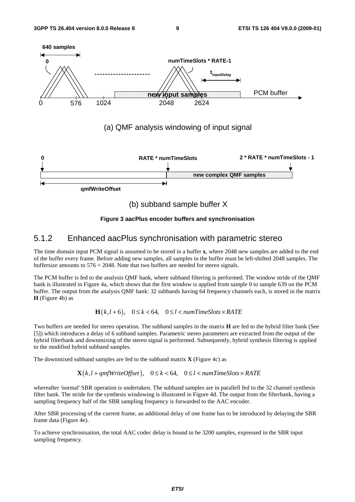

**Figure 3 aacPlus encoder buffers and synchronisation** 

#### 5.1.2 Enhanced aacPlus synchronisation with parametric stereo

The time domain input PCM signal is assumed to be stored in a buffer **x**, where 2048 new samples are added to the end of the buffer every frame. Before adding new samples, all samples in the buffer must be left-shifted 2048 samples. The buffersize amounts to 576 + 2048. Note that two buffers are needed for stereo signals.

The PCM buffer is fed to the analysis QMF bank, where subband filtering is performed. The window stride of the QMF bank is illustrated in Figure 4a, which shows that the first window is applied from sample 0 to sample 639 on the PCM buffer. The output from the analysis QMF bank: 32 subbands having 64 frequency channels each, is stored in the matrix **H** (Figure 4b) as

 $\mathbf{H}(k, l+6)$ ,  $0 \le k < 64$ ,  $0 \le l < numTimeSlots \times RATE$ 

Two buffers are needed for stereo operation. The subband samples in the matrix **H** are fed to the hybrid filter bank (See [5]) which introduces a delay of 6 subband samples. Parametric stereo parameters are extracted from the output of the hybrid filterbank and downmixing of the stereo signal is performed. Subsequently, hybrid synthesis filtering is applied to the modified hybrid subband samples.

The downmixed subband samples are fed to the subband matrix **X** (Figure 4c) as

 $\mathbf{X}(k, l + qmfWriteOffset), \quad 0 \leq k < 64, \quad 0 \leq l < numTimeSlots \times RATE$ 

whereafter 'normal' SBR operation is undertaken. The subband samples are in parallell fed to the 32 channel synthesis filter bank. The stride for the synthesis windowing is illustrated in Figure 4d. The output from the filterbank, having a sampling frequency half of the SBR sampling frequency is forwarded to the AAC encoder.

After SBR processing of the current frame, an additional delay of one frame has to be introduced by delaying the SBR frame data (Figure 4e).

To achieve synchronisation, the total AAC codec delay is bound to be 3200 samples, expressed in the SBR input sampling frequency.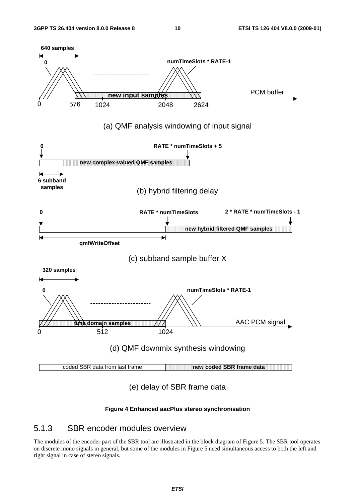

#### **Figure 4 Enhanced aacPlus stereo synchronisation**

#### 5.1.3 SBR encoder modules overview

The modules of the encoder part of the SBR tool are illustrated in the block diagram of Figure 5. The SBR tool operates on discrete mono signals in general, but some of the modules in Figure 5 need simultaneous access to both the left and right signal in case of stereo signals.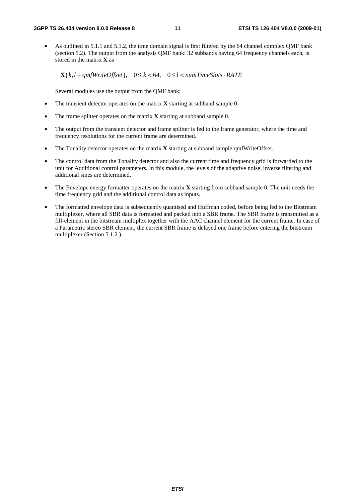• As outlined in 5.1.1 and 5.1.2, the time domain signal is first filtered by the 64 channel complex QMF bank (section 5.2). The output from the analysis QMF bank: 32 subbands having 64 frequency channels each, is stored in the matrix **X** as

 $\mathbf{X}(k, l + qmfWriteOffset), \quad 0 \le k < 64, \quad 0 \le l < numTimeSlots \cdot RATE$ 

Several modules use the output from the QMF bank;

- The transient detector operates on the matrix **X** starting at subband sample 0.
- The frame splitter operates on the matrix **X** starting at subband sample 0.
- The output from the transient detector and frame splitter is fed to the frame generator, where the time and frequency resolutions for the current frame are determined.
- The Tonality detector operates on the matrix **X** starting at subband sample qmfWriteOffset.
- The control data from the Tonality detector and also the current time and frequency grid is forwarded to the unit for Additional control parameters. In this module, the levels of the adaptive noise, inverse filtering and additional sines are determined.
- The Envelope energy formatter operates on the matrix **X** starting from subband sample 0. The unit needs the time frequency grid and the additional control data as inputs.
- The formatted envelope data is subsequently quantised and Huffman coded, before being fed to the Bitstream multiplexer, where all SBR data is formatted and packed into a SBR frame. The SBR frame is transmitted as a fill-element in the bitstream multiplex together with the AAC channel element for the current frame. In case of a Parametric stereo SBR element, the current SBR frame is delayed one frame before entering the bitstream multiplexer (Section 5.1.2 ).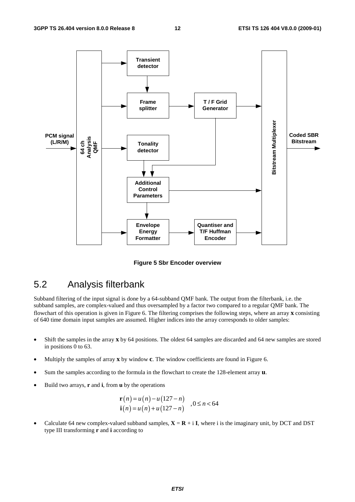

**Figure 5 Sbr Encoder overview** 

### 5.2 Analysis filterbank

Subband filtering of the input signal is done by a 64-subband QMF bank. The output from the filterbank, i.e. the subband samples, are complex-valued and thus oversampled by a factor two compared to a regular QMF bank. The flowchart of this operation is given in Figure 6. The filtering comprises the following steps, where an array **x** consisting of 640 time domain input samples are assumed. Higher indices into the array corresponds to older samples:

- Shift the samples in the array **x** by 64 positions. The oldest 64 samples are discarded and 64 new samples are stored in positions 0 to 63.
- Multiply the samples of array **x** by window **c**. The window coefficients are found in Figure 6.
- Sum the samples according to the formula in the flowchart to create the 128-element array **u**.
- Build two arrays, **r** and **i**, from **u** by the operations

$$
\mathbf{r}(n) = u(n) - u(127 - n)
$$
  
\n
$$
\mathbf{i}(n) = u(n) + u(127 - n)
$$
,  $0 \le n < 64$ 

Calculate 64 new complex-valued subband samples,  $X = R + iI$ , where i is the imaginary unit, by DCT and DST type III transforming **r** and **i** according to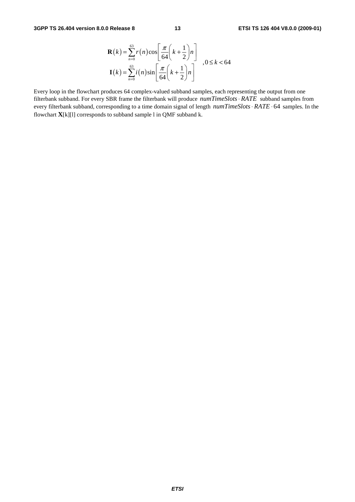$$
\mathbf{R}(k) = \sum_{n=0}^{63} r(n) \cos \left[ \frac{\pi}{64} \left( k + \frac{1}{2} \right) n \right]
$$
  

$$
\mathbf{I}(k) = \sum_{n=0}^{63} i(n) \sin \left[ \frac{\pi}{64} \left( k + \frac{1}{2} \right) n \right]
$$

Every loop in the flowchart produces 64 complex-valued subband samples, each representing the output from one filterbank subband. For every SBR frame the filterbank will produce  $numTimeSlots \cdot RATE$  subband samples from every filterbank subband, corresponding to a time domain signal of length  $numTimeSlots \cdot RATE \cdot 64$  samples. In the flowchart **X**[k][l] corresponds to subband sample l in QMF subband k.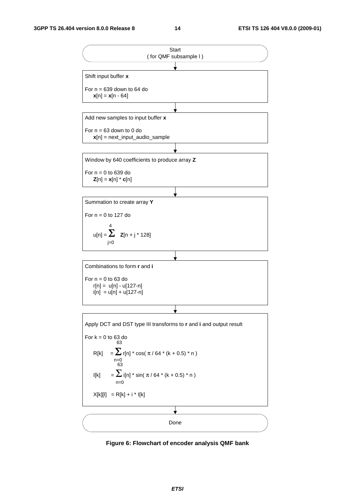

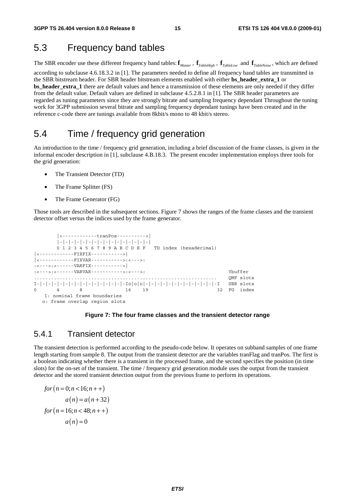### 5.3 Frequency band tables

The SBR encoder use these different frequency band tables:  $f_{Master}$ ,  $f_{TableHigh}$ ,  $f_{TableLow}$  and  $f_{TableNoise}$ , which are defined according to subclause 4.6.18.3.2 in [1]. The parameters needed to define all frequency band tables are transmitted in the SBR bitstream header. For SBR header bitstream elements enabled with either **bs\_header\_extra\_1** or **bs\_header\_extra\_1** there are default values and hence a transmission of these elements are only needed if they differ from the default value. Default values are defined in subclause 4.5.2.8.1 in [1]. The SBR header parameters are regarded as tuning parameters since they are strongly bitrate and sampling frequency dependant Throughout the tuning work for 3GPP submission several bitrate and sampling frequency dependant tunings have been created and in the reference c-code there are tunings available from 8kbit/s mono to 48 kbit/s stereo.

### 5.4 Time / frequency grid generation

An introduction to the time / frequency grid generation, including a brief discussion of the frame classes, is given in the informal encoder description in [1], subclause 4.B.18.3. The present encoder implementation employs three tools for the grid generation:

- The Transient Detector (TD)
- The Frame Splitter (FS)
- The Frame Generator (FG)

Those tools are described in the subsequent sections. Figure 7 shows the ranges of the frame classes and the transient detector offset versus the indices used by the frame generator.

```
 |<------------tranPos---------->| 
         |-|-|-|-|-|-|-|-|-|-|-|-|-|-|-|-| 
         0 1 2 3 4 5 6 7 8 9 A B C D E F TD index (hexadecimal) 
     |<------------FIXFIX----------->| 
|<------------FIXVAR----------->:<--->: 
.<br>:<--->:<------VARFIX----------->|
:<--->:<------VARVAR----------->:<--->: Ybuffer 
................................................................ QMF slots 
\mathbf{I}-|-|-|-|-|-|-|-|-|-|-|-|-|-|-1-\mathbf{I}\circ|\circ|\circ|-|-|-|-|-|-|-|-|-|-|-|-|-|-|-|-1 \qquad \text{SBR } \mathtt{slot} \mathtt{s}8 16 19 32 FG index
    I: nominal frame boundaries 
   o: frame overlap region slots
```
#### **Figure 7: The four frame classes and the transient detector range**

#### 5.4.1 Transient detector

The transient detection is performed according to the pseudo-code below. It operates on subband samples of one frame length starting from sample 8. The output from the transient detector are the variables tranFlag and tranPos. The first is a boolean indicating whether there is a transient in the processed frame, and the second specifies the position (in time slots) for the on-set of the transient. The time / frequency grid generation module uses the output from the transient detector and the stored transient detection output from the previous frame to perform its operations.

$$
for (n = 0; n < 16; n++)
$$
  
a(n) = a(n+32)  
for (n = 16; n < 48; n++)  
a(n) = 0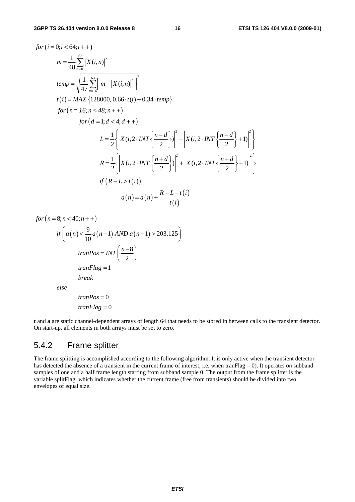$$
for (i = 0; i < 64; i++)
$$
\n
$$
m = \frac{1}{48} \sum_{n=16}^{63} |X(i, n)|^2
$$
\n
$$
temp = \sqrt{\frac{1}{47} \sum_{n=16}^{63} [m - |X(i, n)|^2]^2}
$$
\n
$$
t(i) = MAX \{128000, 0.66 \cdot t(i) + 0.34 \cdot temp\}
$$
\n
$$
for (n = 16; n < 48; n++)
$$
\n
$$
for (d = 1; d < 4; d++)
$$
\n
$$
L = \frac{1}{2} \left\{ |X(i, 2 \cdot INT \left\{ \frac{n - d}{2} \right\} \right\}^2 + |X(i, 2 \cdot INT \left\{ \frac{n - d}{2} \right\} + 1)|^2 \right\}
$$
\n
$$
R = \frac{1}{2} \left\{ |X(i, 2 \cdot INT \left\{ \frac{n + d}{2} \right\} \right\}^2 + |X(i, 2 \cdot INT \left\{ \frac{n + d}{2} \right\} + 1)|^2 \right\}
$$
\n
$$
if (R - L > t(i))
$$
\n
$$
a(n) = a(n) + \frac{R - L - t(i)}{t(i)}
$$

 $for (n = 8; n < 40; n++)$ 

$$
if\left(a(n) < \frac{9}{10}a(n-1) \text{ AND } a(n-1) > 203.125\right)
$$
\n
$$
tranPos = INT\left(\frac{n-8}{2}\right)
$$
\n
$$
tranFlag = 1
$$
\n
$$
break
$$
\n
$$
else
$$

$$
tranPos = 0
$$

$$
tranFlag = 0
$$

**t** and **a** are static channel-dependent arrays of length 64 that needs to be stored in between calls to the transient detector. On start-up, all elements in both arrays must be set to zero.

#### 5.4.2 Frame splitter

The frame splitting is accomplished according to the following algorithm. It is only active when the transient detector has detected the absence of a transient in the current frame of interest, i.e. when tranFlag = 0). It operates on subband samples of one and a half frame length starting from subband sample 0. The output from the frame splitter is the variable splitFlag, which indicates whether the current frame (free from transients) should be divided into two envelopes of equal size.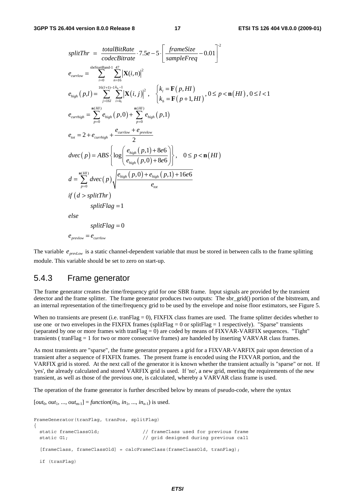$$
splitThr = \frac{totalBitRate}{codeBitrate} \cdot 7.5e - 5 \cdot \left[ \frac{frameSize}{sampleFreq} - 0.01 \right]^2
$$
\n
$$
e_{curflow} = \sum_{i=0}^{sbrStartBand-1} \sum_{n=16}^{47} \left[ \mathbf{X}(i,n) \right]^2
$$
\n
$$
e_{high}(p,l) = \sum_{j=16}^{16(I+1)-1} \sum_{i=k_j}^{k-1} \left[ \mathbf{X}(i,j) \right]^2, \quad \begin{cases} k_l = \mathbf{F}(p,HI) \\ k_h = \mathbf{F}(p+1,HI) \end{cases}, 0 \le p < \mathbf{n}(HI), 0 \le l < 1
$$
\n
$$
e_{curhigh} = \sum_{p=0}^{n(H)} e_{high}(p,0) + \sum_{p=0}^{n(H)} e_{high}(p,1)
$$
\n
$$
e_{tot} = 2 + e_{curhigh} + \frac{e_{curflow} + e_{prevlow}}{2}
$$
\n
$$
dvec(p) = ABS \left\{ log \left( \frac{e_{high}(p,1) + 8e6}{e_{high}(p,0) + 8e6} \right) \right\}, \quad 0 \le p < \mathbf{n}(HI)
$$
\n
$$
d = \sum_{p=0}^{n(H)} dvec(p) \sqrt{\frac{e_{high}(p,0) + e_{high}(p,1) + 16e6}{e_{tot}}}
$$
\n
$$
if (d > splitThr)
$$
\n
$$
splitFlag = 1
$$
\n
$$
else
$$
\n
$$
splitFlag = 0
$$
\n
$$
e_{prevlow} = e_{curflow}
$$

The variable  $e_{\text{new-}l, \text{new}}$  is a static channel-dependent variable that must be stored in between calls to the frame splitting module. This variable should be set to zero on start-up.

#### 5.4.3 Frame generator

The frame generator creates the time/frequency grid for one SBR frame. Input signals are provided by the transient detector and the frame splitter. The frame generator produces two outputs: The sbr\_grid() portion of the bitstream, and an internal representation of the time/frequency grid to be used by the envelope and noise floor estimators, see Figure 5.

When no transients are present (i.e. tranFlag = 0), FIXFIX class frames are used. The frame splitter decides whether to use one or two envelopes in the FIXFIX frames (splitFlag = 0 or splitFlag = 1 respectively). "Sparse" transients (separated by one or more frames with tranFlag  $= 0$ ) are coded by means of FIXVAR-VARFIX sequences. "Tight" transients ( tranFlag = 1 for two or more consecutive frames) are handeled by inserting VARVAR class frames.

As most transients are "sparse", the frame generator prepares a grid for a FIXVAR-VARFIX pair upon detection of a transient after a sequence of FIXFIX frames. The present frame is encoded using the FIXVAR portion, and the VARFIX grid is stored. At the next call of the generator it is known whether the transient actually is "sparse" or not. If 'yes', the already calculated and stored VARFIX grid is used. If 'no', a new grid, meeting the requirements of the new transient, as well as those of the previous one, is calculated, whereby a VARVAR class frame is used.

The operation of the frame generator is further described below by means of pseudo-code, where the syntax

 $[out_0, out_1, ..., out_{m-1}] = function(in_0, in_1, ..., in_{n-1})$  is used.

```
FrameGenerator(tranFlag, tranPos, splitFlag) 
{ 
  static frameClassOld; // frameClass used for previous frame 
 static G1; \frac{1}{2} // grid designed during previous call
  [frameClass, frameClassOld] = calcFrameClass(frameClassOld, tranFlag);
  if (tranFlag)
```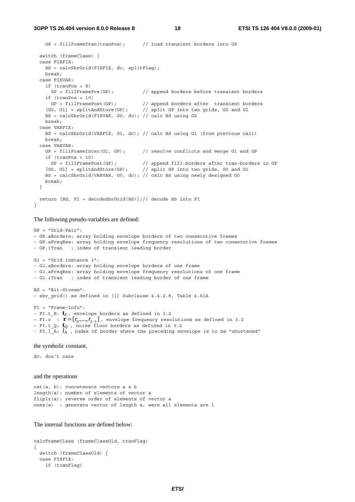**3GPP TS 26.404 version 8.0.0 Release 8 18 ETSI TS 126 404 V8.0.0 (2009-01)**

```
 GP = fillFrameTran(tranPos); // load transient borders into GP 
  switch (frameClass) { 
  case FIXFIX: 
    BS = calcSbrGrid(FIXFIX, dc, splitFlag); 
    break; 
  case FIXVAR: 
    if (tranPos > 8) 
     GP = fillFramePre(GP); // append borders before transient borders
    if (tranPos < 10) 
 GP = fillFramePost(GP); // append borders after transient borders 
 [G0, G1] = splitAndStore(GP); // split GP into two grids, G0 and G1 
   BS = calcSbrGrid(FIXVAR, G0, dc); // calc BS using G0
    break; 
  case VARFIX: 
    BS = calcSbrGrid(VARFIX, G1, dc); // calc BS using G1 (from previous call) 
    break; 
  case VARVAR: 
   GP = fillFrameInter(G1, GP); // resolve conflicts and merge G1 and GP
    if (tranPos < 10) 
 GP = fillFramePost(GP); // append fill-borders after tran-borders in GP 
 [G0, G1] = splitAndStore(GP); // split GP into two grids, G0 and G1 
    BS = calcSbrGrid(VARVAR, G0, dc); // calc BS using newly designed G0 
    break; 
  } 
  return [BS, FI = decodeSbrGrid(BS)];// decode BS into FI 
}
```
The following pseudo-variables are defined:

```
GP = "Grid-Pair": 
- GP.aBorders: array holding envelope borders of two consecutive frames 
- GP.aFreqRes: array holding envelope frequency resolutions of two consecutive frames 
- GP.iTran : index of transient leading border 
Gi = "Grid instance i": 
- Gi.aBorders: array holding envelope borders of one frame 
- Gi.aFreqRes: array holding envelope frequency resolutions of one frame 
- Gi.iTran : index of transient leading border of one frame 
BS = "Bit-Stream": 
- sbr grid() as defined in [1] Subclause 4.4.2.8, Table 4.61A
FI = "Frame-Info": 
- FI.t_E: tE , envelope borders as defined in 3.2 
- FI.r : \mathbf{r} = [r_0, ..., r_{L-1}], envelope frequency resolutions as defined in 3.2
- FI.t_Q: tQ , noise floor borders as defined in 3.2 
- FI.1 A: l_A, index of border where the preceding envelope is to be "shortened"
```
the symbolic constant,

dc: don't care

and the operations

```
cat(a, b): concatenate vectors a & b 
length(a): number of elements of vector a 
fliplr(a): reverse order of elements of vector a 
ones(a) : generate vector of length a, were all elements are 1
```
The internal functions are defined below:

```
calcFrameClass (frameClassOld, tranFlag) 
{ 
   switch (frameClassOld) { 
   case FIXFIX: 
     if (tranFlag)
```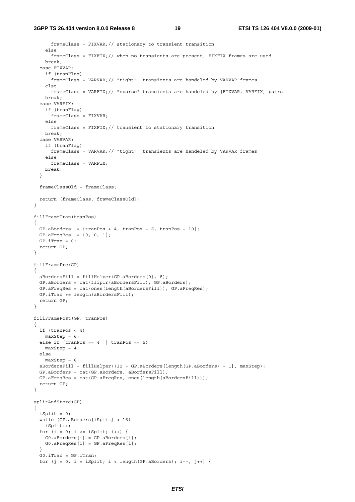#### **3GPP TS 26.404 version 8.0.0 Release 8 19 ETSI TS 126 404 V8.0.0 (2009-01)**

```
 frameClass = FIXVAR;// stationary to transient transition 
     else 
       frameClass = FIXFIX;// when no transients are present, FIXFIX frames are used 
     break; 
   case FIXVAR: 
     if (tranFlag) 
       frameClass = VARVAR;// "tight" transients are handeled by VARVAR frames 
     else 
      frameClass = VARFIX;// "sparse" transients are handeled by [FIXVAR, VARFIX] pairs 
     break; 
   case VARFIX: 
     if (tranFlag) 
      frameClass = FIXVAR; 
     else 
     frameClass = FIXFIX:// transient to stationary transition
    break; 
   case VARVAR: 
    if (tranFlag) 
      frameClass = VARVAR;// "tight" transients are handeled by VARVAR frames 
     else 
      frameClass = VARFIX; 
    break; 
   } 
   frameClassOld = frameClass; 
   return [frameClass, frameClassOld]; 
} 
fillFrameTran(tranPos) 
{ 
 GP.aBorders = \{tranPos + 4, tranPos + 6, tranPos + 10\};
 GP.aFreqRes = \{0, 0, 1\};
 GP.irran = 0; return GP; 
} 
fillFramePre(GP) 
{ 
   aBordersFill = fillHelper(GP.aBorders[0], 8); 
  GP.aBorders = cat(fliplr(aBordersFill), GP.aBorders); 
   GP.aFreqRes = cat(ones(length(aBordersFill)), GP.aFreqRes); 
  GP.iTran += length(aBordersFill); 
   return GP; 
} 
fillFramePost(GP, tranPos) 
{ 
  if (tranPos < 4) 
   maxStep = 6;else if (tranPos == 4 | | tranPos == 5)maxStep = 4; else 
   maxStep = 8;
   aBordersFill = fillHelper((32 - GP.aBorders[length(GP.aBorders) - 1], maxStep); 
   GP.aBorders = cat(GP.aBorders, aBordersFill); 
   GP.aFreqRes = cat(GP.aFreqRes, ones(length(aBordersFill))); 
   return GP; 
} 
splitAndStore(GP) 
{ 
  iSplit = 0; while (GP.aBorders[iSplit] < 16) 
     iSplit++; 
  for (i = 0; i \le i \text{Split}; i++) G0.aBorders[i] = GP.aBorders[i]; 
    G0.aFreqRes[i] = GP.aFreqRes[i]; 
 } 
   G0.iTran = GP.iTran; 
  for (j = 0, i = iSplit; i < length(GP.aBorders); i++, j++) {
```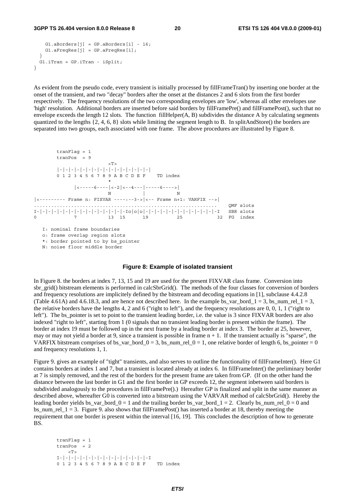#### **3GPP TS 26.404 version 8.0.0 Release 8 20 ETSI TS 126 404 V8.0.0 (2009-01)**

```
G1.aBorders[i] = GP.aBorders[i] - 16;G1.aFreqRes[j] = GP.aFreqRes[i]; } 
  G1.iTran = GP.iTran - iSplit; 
}
```
As evident from the pseudo code, every transient is initially processed by fillFrameTran() by inserting one border at the onset of the transient, and two "decay" borders after the onset at the distances 2 and 6 slots from the first border respectively. The frequency resolutions of the two corresponding envelopes are 'low', whereas all other envelopes use 'high' resolution. Additional borders are inserted before said borders by fillFramePre() and fillFramePost(), such that no envelope exceeds the length 12 slots. The function fillHelper( $A$ ,  $B$ ) subdivides the distance  $A$  by calculating segments quantized to the lengths  $\{2, 4, 6, 8\}$  slots while limiting the segment length to B. In splitAndStore() the borders are separated into two groups, each associated with one frame. The above procedures are illustrated by Figure 8.

```
 tranFlag = 1 
      tranPos = 9 
\rm <\! T\!> |-|-|-|-|-|-|-|-|-|-|-|-|-|-|-|-| 
      0 1 2 3 4 5 6 7 8 9 A B C D E F TD index 
\star |<-----6----|<-2|<--4---|-----6---->| 
N N N
|<--------- Frame n: FIXVAR ----:--3->|<-- Frame n+1: VARFIX -->| 
 ................................................................ QMF slots 
I-|-|-|-|-|-|-|-|-|-|-|-|-|-|-|-Io|o|o|-|-|-|-|-|-|-|-|-|-|-|-|-I SBR slots 
0 7 13 15 19 25 32 FG index
```
I: nominal frame boundaries

o: frame overlap region slots

\*: border pointed to by bs\_pointer

N: noise floor middle border

#### **Figure 8: Example of isolated transient**

In Figure 8. the borders at index 7, 13, 15 and 19 are used for the present FIXVAR class frame. Conversion into sbr\_grid() bitstream elements is performed in calcSbrGrid(). The methods of the four classes for conversion of borders and frequency resolutions are implicitely defined by the bitstream and decoding equations in [1], subclause 4.4.2.8 (Table 4.61A) and 4.6.18.3, and are hence not described here. In the example bs\_var\_bord\_1 = 3, bs\_num\_rel\_1 = 3, the relative borders have the lengths 4, 2 and 6 ("right to left"), and the frequency resolutions are 0, 0, 1, 1 ("right to left"). The bs\_pointer is set to point to the transient leading border, i.e. the value is 3 since FIXVAR borders are also indexed "right to left", starting from 1 (0 signals that no transient leading border is present within the frame). The border at index 19 must be followed up in the next frame by a leading border at index 3. The border at 25, however, may or may not yield a border at 9, since a transient is possible in frame  $n + 1$ . If the transient actually is "sparse", the VARFIX bitstream comprises of bs\_var\_bord\_0 = 3, bs\_num\_rel\_0 = 1, one relative border of length 6, bs\_pointer = 0 and frequency resolutions 1, 1.

Figure 9. gives an example of "tight" transients, and also serves to outline the functionality of fillFrameInter(). Here G1 contains borders at index 1 and 7, but a transient is located already at index 6. In fillFrameInter() the preliminary border at 7 is simply removed, and the rest of the borders for the present frame are taken from GP. (If on the other hand the distance between the last border in G1 and the first border in GP exceeds 12, the segment inbetween said borders is subdivided analogously to the procedures in fillFramePre().) Hereafter GP is finalized and split in the same manner as described above, whereafter G0 is converted into a bitstream using the VARVAR method of calcSbrGrid(). Hereby the leading border yields bs\_var\_bord\_0 = 1 and the trailing border bs\_var\_bord\_1 = 2. Clearly bs\_num\_rel\_0 = 0 and bs num rel  $1 = 3$ . Figure 9. also shows that fillFramePost() has inserted a border at 18, thereby meeting the requirement that one border is present within the interval [16, 19]. This concludes the description of how to generate BS.

```
 tranFlag = 1 
 tranPos = 2 
    \langle T \rangle I-|-|-|-|-|-|-|-|-|-|-|-|-|-|-|-I 
 0 1 2 3 4 5 6 7 8 9 A B C D E F TD index
```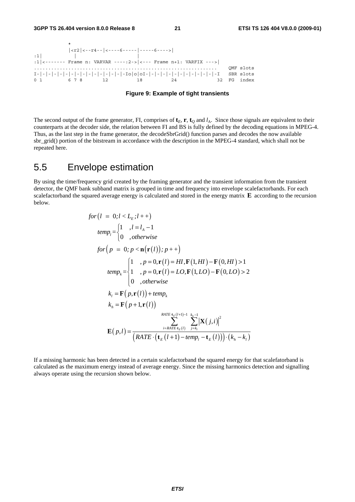

**Figure 9: Example of tight transients** 

The second output of the frame generator, FI, comprises of  $\mathbf{t}_E$ ,  $\mathbf{r}$ ,  $\mathbf{t}_O$  and  $l_A$ . Since those signals are equivalent to their counterparts at the decoder side, the relation between FI and BS is fully defined by the decoding equations in MPEG-4. Thus, as the last step in the frame generator, the decodeSbrGrid() function parses and decodes the now available sbr\_grid() portion of the bitstream in accordance with the description in the MPEG-4 standard, which shall not be repeated here.

### 5.5 Envelope estimation

By using the time/frequency grid created by the framing generator and the transient information from the transient detector, the QMF bank subband matrix is grouped in time and frequency into envelope scalefactorbands. For each scalefactorband the squared average energy is calculated and stored in the energy matrix **E** according to the recursion below.

$$
for (l = 0; l < L_E; l++)
$$
\n
$$
temp_l = \begin{cases} 1, & l = l_A - 1 \\ 0, & otherwise \end{cases}
$$
\n
$$
for (p = 0; p < \mathbf{n}(\mathbf{r}(l)); p++)
$$
\n
$$
temp_k = \begin{cases} 1, & p = 0, \mathbf{r}(l) = HI, \mathbf{F}(1, HI) - \mathbf{F}(0, HI) > 1 \\ 1, & p = 0, \mathbf{r}(l) = LO, \mathbf{F}(1, LO) - \mathbf{F}(0, LO) > 2 \\ 0, & otherwise \end{cases}
$$
\n
$$
k_l = \mathbf{F}(p, \mathbf{r}(l)) + temp_k
$$
\n
$$
k_h = \mathbf{F}(p + 1, \mathbf{r}(l))
$$
\n
$$
RATE + k_l(l) = \sum_{i = RATE + k_l(l)}^{RATE + k_l(l + 1) - 1} k_h = \left[ \mathbf{X}(j, i) \right]^2
$$
\n
$$
\mathbf{E}(p, l) = \frac{\sum_{i = RATE + k_l(l)}^{RATE + k_l(l + 1) - 1} k_h = \left[ \mathbf{X}(j, i) \right]^2}{\left( RATE \cdot (\mathbf{t}_E(l + 1) - temp_l - \mathbf{t}_E(l)) \right) \cdot (k_h - k_l)}
$$

If a missing harmonic has been detected in a certain scalefactorband the squared energy for that scalefatorband is calculated as the maximum energy instead of average energy. Since the missing harmonics detection and signalling always operate using the recursion shown below.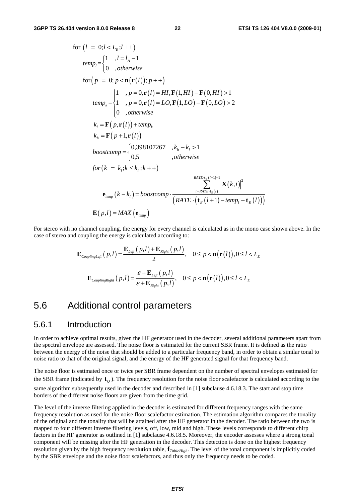for 
$$
(l = 0; l < L_E; l + +)
$$
  
\n
$$
temp_l = \begin{cases} 1 &, l = l_A - 1 \\ 0 &, otherwise \end{cases}
$$
\nfor  $(p = 0; p < \mathbf{n}(\mathbf{r}(l)); p + +)$   
\n
$$
temp_k = \begin{cases} 1 &, p = 0, \mathbf{r}(l) = HI, \mathbf{F}(1, HI) - \mathbf{F}(0, HI) > 1 \\ 1 &, p = 0, \mathbf{r}(l) = LO, \mathbf{F}(1, LO) - \mathbf{F}(0, LO) > 2 \end{cases}
$$
\n
$$
k_l = \mathbf{F}(p, \mathbf{r}(l)) + temp_k
$$
\n
$$
k_h = \mathbf{F}(p + 1, \mathbf{r}(l))
$$
\n
$$
boostcomp = \begin{cases} 0,398107267 &, k_h - k_l > 1 \\ 0,5 &, otherwise \end{cases}
$$
\n
$$
for (k = k_l; k < k_h; k++)
$$
\n
$$
F_{\text{AATE} \cdot \mathbf{r}(k)} = \sum_{i = \text{AATE} \cdot \mathbf{r}(k)} \left| \mathbf{X}(k, i) \right|^2
$$
\n
$$
\mathbf{e}_{temp} (k - k_l) = boostcomp \cdot \frac{\sum_{i = \text{AATE} \cdot \mathbf{r}(k)} \left| \mathbf{X}(k, i) \right|^2}{\left( RATE \cdot (\mathbf{t}_E(l + 1) - temp_l - \mathbf{t}_E(l)) \right)}
$$
\n
$$
\mathbf{E}(p, l) = MAX(\mathbf{e}_{temp})
$$

For stereo with no channel coupling, the energy for every channel is calculated as in the mono case shown above. In the case of stereo and coupling the energy is calculated according to:

$$
\mathbf{E}_{\textit{couplingLeft}}(p,l) = \frac{\mathbf{E}_{\textit{Left}}(p,l) + \mathbf{E}_{\textit{Right}}(p,l)}{2}, \quad 0 \le p < \mathbf{n}(\mathbf{r}(l)), 0 \le l < L_{\textit{E}}
$$
\n
$$
\mathbf{E}_{\textit{couplingRight}}(p,l) = \frac{\varepsilon + \mathbf{E}_{\textit{Left}}(p,l)}{\varepsilon + \mathbf{E}_{\textit{Right}}(p,l)}, \quad 0 \le p < \mathbf{n}(\mathbf{r}(l)), 0 \le l < L_{\textit{E}}
$$

#### 5.6 Additional control parameters

#### 5.6.1 Introduction

In order to achieve optimal results, given the HF generator used in the decoder, several additional parameters apart from the spectral envelope are assessed. The noise floor is estimated for the current SBR frame. It is defined as the ratio between the energy of the noise that should be added to a particular frequency band, in order to obtain a similar tonal to noise ratio to that of the original signal, and the energy of the HF generated signal for that frequency band.

The noise floor is estimated once or twice per SBR frame dependent on the number of spectral envelopes estimated for the SBR frame (indicated by  $\mathbf{t}_o$ ). The frequency resolution for the noise floor scalefactor is calculated according to the same algorithm subsequently used in the decoder and described in [1] subclause 4.6.18.3. The start and stop time borders of the different noise floors are given from the time grid.

The level of the inverse filtering applied in the decoder is estimated for different frequency ranges with the same frequency resolution as used for the noise floor scalefactor estimation. The estimation algorithm compares the tonality of the original and the tonality that will be attained after the HF generator in the decoder. The ratio between the two is mapped to four different inverse filtering levels, off, low, mid and high. These levels corresponds to different chirp factors in the HF generator as outlined in [1] subclause 4.6.18.5. Moreover, the encoder assesses where a strong tonal component will be missing after the HF generation in the decoder. This detection is done on the highest frequency resolution given by the high frequency resolution table, **f***TableHigh*. The level of the tonal component is implicitly coded by the SBR envelope and the noise floor scalefactors, and thus only the frequency needs to be coded.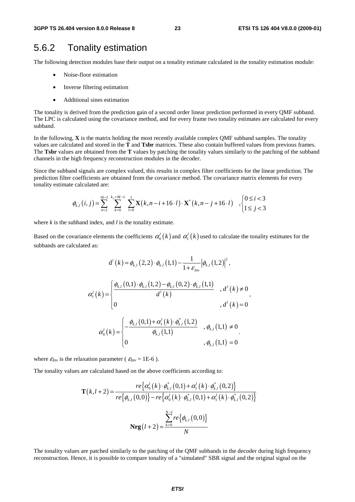### 5.6.2 Tonality estimation

The following detection modules base their output on a tonality estimate calculated in the tonality estimation module:

- Noise-floor estimation
- Inverse filtering estimation
- Additional sines estimation

The tonality is derived from the prediction gain of a second order linear prediction performed in every QMF subband. The LPC is calculated using the covariance method, and for every frame two tonality estimates are calculated for every subband.

In the following, **X** is the matrix holding the most recently available complex QMF subband samples. The tonality values are calculated and stored in the **T** and **Tsbr** matrices. These also contain buffered values from previous frames. The **Tsbr** values are obtained from the **T** values by patching the tonality values similarly to the patching of the subband channels in the high frequency reconstruction modules in the decoder.

Since the subband signals are complex valued, this results in complex filter coefficients for the linear prediction. The prediction filter coefficients are obtained from the covariance method. The covariance matrix elements for every tonality estimate calculated are:

$$
\phi_{k,l}(i,j) = \sum_{n=2}^{16-1} \sum_{k=0}^{k_x + M - 1} \sum_{l=0}^{1} \mathbf{X}(k, n-i+16 \cdot l) \cdot \mathbf{X}^*(k, n-j+16 \cdot l) ,\begin{cases} 0 \le i < 3 \\ 1 \le j < 3 \end{cases}
$$

where *k* is the subband index, and *l* is the tonality estimate.

Based on the covariance elements the coefficients  $\alpha_0^l(k)$  and  $\alpha_1^l(k)$  used to calculate the tonality estimates for the subbands are calculated as:

$$
d^{l}(k) = \phi_{k,l}(2,2) \cdot \phi_{k,l}(1,1) - \frac{1}{1+\varepsilon_{hw}} |\phi_{k,l}(1,2)|^{2},
$$
  

$$
\alpha_{1}^{l}(k) = \begin{cases} \frac{\phi_{k,l}(0,1) \cdot \phi_{k,l}(1,2) - \phi_{k,l}(0,2) \cdot \phi_{k,l}(1,1)}{d^{l}(k)} & , d^{l}(k) \neq 0, \\ 0 & , d^{l}(k) = 0 \end{cases},
$$
  

$$
\alpha_{0}^{l}(k) = \begin{cases} -\frac{\phi_{k,l}(0,1) + \alpha_{1}^{l}(k) \cdot \phi_{k,l}^{*}(1,2)}{\phi_{k,l}(1,1)} & , \phi_{k,l}(1,1) \neq 0, \\ 0 & , \phi_{k,l}(1,1) = 0 \end{cases}
$$

where  $\varepsilon_{Inv}$  is the relaxation parameter ( $\varepsilon_{Inv} = 1E-6$ ).

The tonality values are calculated based on the above coefficients according to:

$$
\mathbf{T}(k, l+2) = \frac{re\{\alpha_0^l(k)\cdot\phi_{k,l}^*(0,1) + \alpha_1^l(k)\cdot\phi_{k,l}^*(0,2)\}}{re\{\phi_{k,l}(0,0)\} - re\{\alpha_0^l(k)\cdot\phi_{k,l}^*(0,1) + \alpha_1^l(k)\cdot\phi_{k,l}^*(0,2)\}}
$$

$$
\mathbf{Nrg}(l+2) = \frac{\sum_{k=0}^{N-1} re\{\phi_{k,l}(0,0)\}}{N}
$$

The tonality values are patched similarly to the patching of the QMF subbands in the decoder during high frequency reconstruction. Hence, it is possible to compare tonality of a "simulated" SBR signal and the original signal on the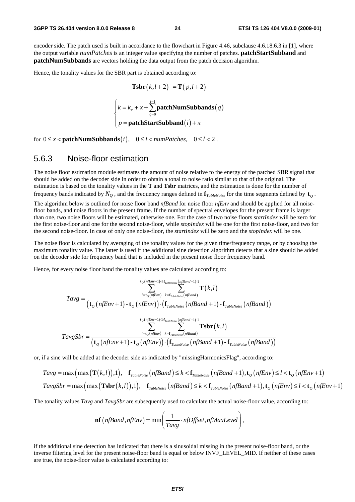encoder side. The patch used is built in accordance to the flowchart in Figure 4.46, subclause 4.6.18.6.3 in [1], where the output variable *numPatches* is an integer value specifying the number of patches. **patchStartSubband** and **patchNumSubbands** are vectors holding the data output from the patch decision algorithm.

Hence, the tonality values for the SBR part is obtained according to:

 $\overline{\phantom{a}}$  $\overline{\phantom{a}}$ 

$$
\text{Tsbr}(k, l+2) = \text{T}(p, l+2)
$$
\n
$$
\begin{cases}\nk = k_x + x + \sum_{q=0}^{i-1} \text{patchNumSubbands}(q) \\
p = \text{patchStartSubband}(i) + x\n\end{cases}
$$

for  $0 \le x <$  **patchNumSubbands** $(i)$ ,  $0 \le i <$  *numPatches*,  $0 \le l < 2$ .

#### 5.6.3 Noise-floor estimation

The noise floor estimation module estimates the amount of noise relative to the energy of the patched SBR signal that should be added on the decoder side in order to obtain a tonal to noise ratio similar to that of the original. The estimation is based on the tonality values in the **T** and **Tsbr** matrices, and the estimation is done for the number of

frequency bands indicated by  $N_Q$ , and the frequency ranges defined in  $\mathbf{f}_{TableNoise}$  for the time segments defined by  $\mathbf{t}_o$ .

The algorithm below is outlined for noise floor band *nfBand* for noise floor *nfEnv* and should be applied for all noisefloor bands, and noise floors in the present frame. If the number of spectral envelopes for the present frame is larger than one, two noise floors will be estimated, otherwise one. For the case of two noise floors *startIndex* will be zero for the first noise-floor and one for the second noise-floor, while *stopIndex* will be one for the first noise-floor, and two for the second noise-floor. In case of only one noise-floor, the *startIndex* will be zero and the *stopIndex* will be one.

The noise floor is calculated by averaging of the tonality values for the given time/frequency range, or by choosing the maximum tonality value. The latter is used if the additional sine detection algorithm detects that a sine should be added on the decoder side for frequency band that is included in the present noise floor frequency band.

Hence, for every noise floor band the tonality values are calculated according to:

$$
Tavg = \frac{\sum_{l=\tau_Q(nfEnv)+1}^{t_Q(nfEnv+1)-1} \sum_{f_{\text{tableNoise}}(nfBand+1)-1}^{t_Q(nfEnv)} \sum_{l=\tau_Q(nfEnv)}^{t_P(mEnv)} \mathbf{T}(k,l)}{\left(\mathbf{t}_Q(nfEnv+1) - \mathbf{t}_Q(nfEnv)\right) \cdot \left(\mathbf{f}_{\text{TableNoise}}(nf Band+1) - \mathbf{f}_{\text{TableNoise}}(nf Band)\right)}\right]^{t_Q(nfEnv+1)-1} \sum_{l=\tau_Q(nfEnv)}^{t_Q(nfEnv+1)-1} \sum_{l=\tau_Q(nfEnv)}^{t_Q(nfEnv)} \sum_{l=\tau_Q(nfEnv)}^{t_Q(mfEnv)} \mathbf{Tsbr}(k,l)
$$
\n
$$
TavgSbr = \frac{\sum_{l=\tau_Q(nfEnv)}^{t_P(mEnv)} \sum_{l=\tau_Q(nfEnv)}^{t_P(mEnv)} \sum_{l=\tau_Q(nf Band+1)-1}^{t_Q(mfEnv)} \mathbf{Tsbr}(k,l)}{\left(\mathbf{t}_Q(nfEnv+1) - \mathbf{t}_Q(nfEnv)\right) \cdot \left(\mathbf{f}_{\text{TableNoise}}(nfBand+1) - \mathbf{f}_{\text{TableNoise}}(nf Band)\right)}
$$

or, if a sine will be added at the decoder side as indicated by "missingHarmonicsFlag", according to:

$$
Tavg = \max\left(\max\left(\mathbf{T}(k,l)\right),1\right), \quad \mathbf{f}_{\text{TableNoise}}\left(\text{nfBand}\right) \le k < \mathbf{f}_{\text{TableNoise}}\left(\text{nf Band}+1\right), \mathbf{t}_Q\left(\text{nfEnv}\right) \le l < \mathbf{t}_Q\left(\text{nfEnv}+1\right)
$$
\n
$$
TavgSbr = \max\left(\max\left(\mathbf{Tsbr}(k,l)\right),1\right), \quad \mathbf{f}_{\text{TableNoise}}\left(\text{nfBand}\right) \le k < \mathbf{f}_{\text{TableNoise}}\left(\text{nf Band}+1\right), \mathbf{t}_Q\left(\text{nfEnv}\right) \le l < \mathbf{t}_Q\left(\text{nfEnv}+1\right)
$$

The tonality values *Tavg* and *TavgSbr* are subsequently used to calculate the actual noise-floor value, according to:

$$
\mathbf{nf}\left(n\text{fBand}, n\text{fEnv}\right) = \min\left(\frac{1}{Tavg} \cdot n\text{fOffset}, n\text{fMaxLevel}\right),\,
$$

if the additional sine detection has indicated that there is a sinusoidal missing in the present noise-floor band, or the inverse filtering level for the present noise-floor band is equal or below INVF\_LEVEL\_MID. If neither of these cases are true, the noise-floor value is calculated according to: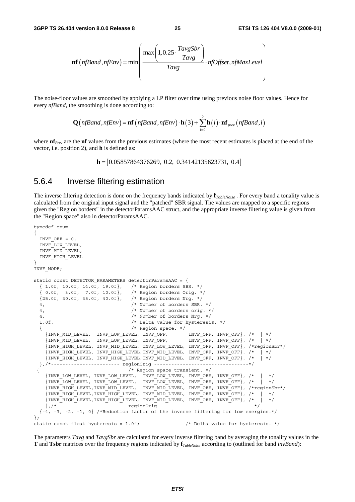$$
\mathbf{nf}\left(n\text{fBand}, n\text{fEnv}\right) = \min\left(\frac{\max\left(1, 0.25 \cdot \frac{\text{TavgSbr}}{\text{Tavg}}\right)}{\text{Tavg}} \cdot n\text{fOffset}, n\text{fMaxLevel}\right)
$$

The noise-floor values are smoothed by applying a LP filter over time using previous noise floor values. Hence for every *nfBand*, the smoothing is done according to:

$$
\mathbf{Q}\big(\text{nfBand}, \text{nfEnv}\big) = \mathbf{nf}\big(\text{nfBand}, \text{nfEnv}\big) \cdot \mathbf{h}\big(3\big) + \sum_{i=0}^{2} \mathbf{h}\big(i\big) \cdot \mathbf{nf}_{\text{prev}}\big(\text{nfBand}, i\big)
$$

where **nf**<sub>*Prev*</sub> are the **nf** values from the previous estimates (where the most recent estimates is placed at the end of the vector, i.e. position 2), and **h** is defined as:

**h** =  $[0.05857864376269, 0.2, 0.34142135623731, 0.4]$ 

#### 5.6.4 Inverse filtering estimation

The inverse filtering detection is done on the frequency bands indicated by **f***TableNoise* . For every band a tonality value is calculated from the original input signal and the "patched" SBR signal. The values are mapped to a specific regions given the "Region borders" in the detectorParamsAAC struct, and the appropriate inverse filtering value is given from the "Region space" also in detectorParamsAAC.

```
typedef enum 
{ 
  INVF OFF = 0, INVF_LOW_LEVEL, 
   INVF_MID_LEVEL, 
   INVF_HIGH_LEVEL 
} 
INVF_MODE; 
static const DETECTOR PARAMETERS detectorParamsAAC = \{ { 1.0f, 10.0f, 14.0f, 19.0f}, /* Region borders SBR. */ 
   { 0.0f, 3.0f, 7.0f, 10.0f}, /* Region borders Orig. */ 
   {25.0f, 30.0f, 35.0f, 40.0f}, /* Region borders Nrg. */ 
   4, /* Number of borders SBR. */ 
   4, /* Number of borders orig. */ 
   4, /* Number of borders Nrg. */ 
   1.0f, /* Delta value for hysteresis. */ 
  \begin{array}{lcl} \{ & \hspace{1.5mm} \text{/* Region space. */} \\ \{INVF\_MID\_LEVEL, & \text{INVF\_LOW\_LEVEL, } \text{INVF\_OFF, } & \text{INVF\_OFF, } \text{INVF\_OFF, } \end{array}, \begin{array}{lcl} \text{/*} & \hspace{1.5mm} \text{+} \\ \text{/*} & \hspace{1.5mm} \text{+} \\ \{INVF\_MID\_LEVEL, & \text{INVF\_LOW\_LEVEL, } \text{INVF\_OFF, } & \text{INVF\_OFF, } \text{INVF\_OFF, } \end{array}, \begin{array}{lcl} \text{/*} & \hspace{1.5mm} \text{ {INVF_MID_LEVEL, INVF_LOW_LEVEL, INVF_OFF, INVF_OFF, INVF_OFF}, /* | */ 
      {INVF_MID_LEVEL, INVF_LOW_LEVEL, INVF_OFF, INVF_OFF, INVF_OFF}, /* | */ 
      {INVF_HIGH_LEVEL, INVF_MID_LEVEL, INVF_LOW_LEVEL, INVF_OFF, INVF_OFF}, /*regionSbr*/ 
     {1}INVF_HIGH_LEVEL, INVF_HIGH_LEVEL, INVF_MID_LEVEL, INVF_OFF, INVF_OFF}, /* | */
      {INVF_HIGH_LEVEL, INVF_HIGH_LEVEL,INVF_MID_LEVEL, INVF_OFF, INVF_OFF}, /* | */ 
   },/*------------------------ regionOrig ---------------------------------*/ 
                                        /* Region space transient. */ {INVF_LOW_LEVEL, INVF_LOW_LEVEL, INVF_LOW_LEVEL, INVF_OFF, INVF_OFF}, /* | */ 
\{INVF\ LOW\ LEVEL,\ INVF\ LOW\ LEVEL, \ INVF\ LOW\ LEVEL, \ INVF\ OEF,\ INVF\ OFF\}, \t' * | * \t' {INVF_HIGH_LEVEL,INVF_MID_LEVEL, INVF_MID_LEVEL, INVF_OFF, INVF_OFF}, /*regionSbr*/ 
\{INVF\ HIGH\ LEVEL, INVF\ HIGH\ LEVEL,\ INVF\ MID\ LEVEL,\ INVF\ OFF,\ INVF\ OFF\}, \t /* | */
     \{INVF\_HIGH\_LEVEL, INVF\_HIGH\_LEVEL, INVF\_MID\_LEVEL, INVF\_OFF, INVF_CFF\} , /* | */
      },/*------------------------ regionOrig ---------------------------------*/ 
  {-4, -3, -2, -1, 0} /*Reduction factor of the inverse filtering for low energies.*/
}; 
static const float hysteresis = 1.0f; \frac{1}{2} \frac{1}{2} \frac{1}{2} belta value for hysteresis. */
```
The parameters *Tavg* and *TavgSbr* are calculated for every inverse filtering band by averaging the tonality values in the **T** and **Tsbr** matrices over the frequency regions indicated by **f***TableNoise* according to (outlined for band *invBand*):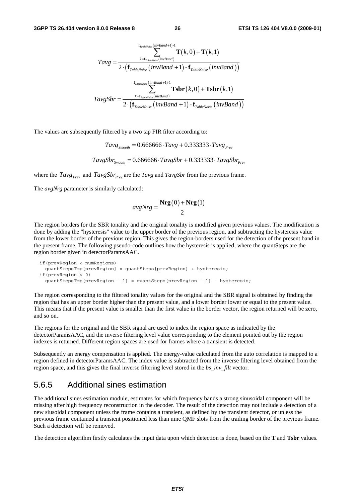$$
\mathit{Tavg} = \frac{\sum_{k=\mathit{r}_{\mathit{tableNoise}}(\mathit{invBand}+1)-1}^{\mathit{f}_{\mathit{TableNoise}}(\mathit{inv Band})\mathbf{\Gamma}(k,0)+\mathbf{\Gamma}(k,1)}{2\cdot(\mathbf{f}_{\mathit{TableNoise}}(\mathit{invBand}+1)-\mathbf{f}_{\mathit{TableNoise}}(\mathit{invBand}))}
$$
\n
$$
\frac{\mathit{f}_{\mathit{TableNoise}}(\mathit{invBand}+1)-\mathbf{f}_{\mathit{TableNoise}}(\mathit{inv Band}))}{2\cdot(\mathbf{f}_{\mathit{TableNoise}}(\mathit{invBand}+1)-\mathbf{f}_{\mathit{TableNoise}}(\mathit{invBand})))}
$$

The values are subsequently filtered by a two tap FIR filter according to:

 $Tavg_{\text{Smodel}} = 0.666666 \cdot Tay + 0.333333 \cdot Tay + 0.333333 \cdot Tay + 0.333333 \cdot Tay + 0.333333 \cdot Tay + 0.333333 \cdot Tay + 0.333333 \cdot Tay + 0.333333 \cdot Tay + 0.333333 \cdot Tay + 0.333333 \cdot Tay + 0.333333 \cdot Tay + 0.333333 \cdot Tay + 0.333333 \cdot Tay + 0.333333 \cdot T = 0.66666666 \cdot x + 0.333333 \cdot T =$ 

 $TavgSbr_{c_{model}} = 0.666666 \cdot TavgSbr + 0.333333 \cdot TavgSbr_{p_{rev}}$ 

where the  $Tavg_{Prev}$  and  $TavgSbr_{Prev}$  are the  $Tavg$  and  $TavgSbr$  from the previous frame.

The *avgNrg* parameter is similarly calculated:

$$
avgNrg = \frac{\mathbf{Nrg}(0) + \mathbf{Nrg}(1)}{2}
$$

The region borders for the SBR tonality and the original tonality is modified given previous values. The modification is done by adding the "hysteresis" value to the upper border of the previous region, and subtracting the hysteresis value from the lower border of the previous region. This gives the region-borders used for the detection of the present band in the present frame. The following pseudo-code outlines how the hysteresis is applied, where the quantSteps are the region border given in detectorParamsAAC.

```
 if(prevRegion < numRegions) 
  quantStepsTmp[prevRegion] = quantSteps[prevRegion] + hysteresis; 
 if(prevRegion > 0) 
  quantStepsTmp[prevRegion - 1] = quantSteps[prevRegion - 1] - hysteresis;
```
The region corresponding to the filtered tonality values for the original and the SBR signal is obtained by finding the region that has an upper border higher than the present value, and a lower border lower or equal to the present value. This means that if the present value is smaller than the first value in the border vector, the region returned will be zero, and so on.

The regions for the original and the SBR signal are used to index the region space as indicated by the detectorParamsAAC, and the inverse filtering level value corresponding to the element pointed out by the region indexes is returned. Different region spaces are used for frames where a transient is detected.

Subsequently an energy compensation is applied. The energy-value calculated from the auto correlation is mapped to a region defined in detectorParamsAAC. The index value is subtracted from the inverse filtering level obtained from the region space, and this gives the final inverse filtering level stored in the *bs\_inv\_filt* vector.

#### 5.6.5 Additional sines estimation

The additional sines estimation module, estimates for which frequency bands a strong sinusoidal component will be missing after high frequency reconstruction in the decoder. The result of the detection may not include a detection of a new siusoidal component unless the frame contains a transient, as defined by the transient detector, or unless the previous frame contained a transient positioned less than nine QMF slots from the trailing border of the previous frame. Such a detection will be removed.

The detection algorithm firstly calculates the input data upon which detection is done, based on the **T** and **Tsbr** values.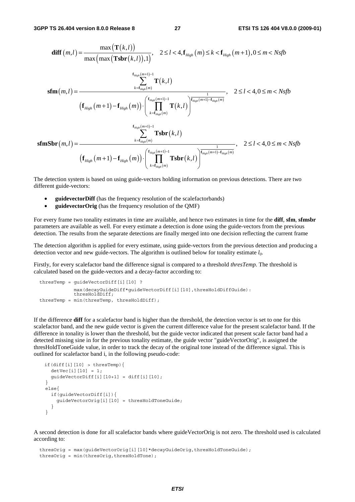$$
\begin{aligned}\n\text{diff}(m,l) &= \frac{\max\left(\mathbf{T}(k,l)\right)}{\max\left(\max\left(\mathbf{T}\mathbf{s}\mathbf{br}(k,l)\right),1\right)}, \quad 2 \leq l < 4, \mathbf{f}_{High}(m) \leq k < \mathbf{f}_{High}(m+1), 0 \leq m < Nsfb \\
&\quad \sum_{k=f_{High}(m)}^{f_{High}(m+1)-1} \mathbf{T}(k,l) \\
&\quad \text{if } \mathbf{f}_{High}(m+1) - \mathbf{f}_{High}(m)\text{ } \bigg) \cdot \left(\prod_{k=f_{High}(m)}^{f_{Map(m+1)-1} \mathbf{T}(k,l)} \frac{1}{\prod_{k=f_{High}(m)}^{f_{Map(m+1)-1} \mathbf{T}(k,l)}}\right), \quad 2 \leq l < 4, 0 \leq m < Nsfb \\
&\quad \left(\mathbf{f}_{High}(m+1) - \mathbf{f}_{High}(m)\right) \cdot \left(\prod_{k=f_{High}(m)}^{f_{Map(m+1)-1} \mathbf{T}(k,l)} \mathbf{T}\mathbf{s}\mathbf{br}(k,l)\right) \\
&\quad \text{if } \mathbf{f}_{High}(m+1) - \mathbf{f}_{High}(m)\text{ } \bigg) \cdot \left(\prod_{k=f_{High}(m+1)-1}^{f_{Map(m+1)-1} \mathbf{T}\mathbf{s}\mathbf{br}(k,l)} \frac{1}{\prod_{k=f_{Map(m}}^{f_{Map(m+1)-1} \mathbf{T}\mathbf{s}\mathbf{br}(k,l)}\right), \quad 2 \leq l < 4, 0 \leq m < Nsfb\n\end{aligned}
$$

The detection system is based on using guide-vectors holding information on previous detections. There are two different guide-vectors:

- **guidevectorDiff** (has the frequency resolution of the scalefactorbands)
- **guidevectorOrig** (has the frequency resolution of the OMF)

For every frame two tonality estimates in time are available, and hence two estimates in time for the **diff**, **sfm**, **sfmsbr** parameters are available as well. For every estimate a detection is done using the guide-vectors from the previous detection. The results from the separate detections are finally merged into one decision reflecting the current frame

The detection algorithm is applied for every estimate, using guide-vectors from the previous detection and producing a detection vector and new guide-vectors. The algorithm is outlined below for tonality estimate  $l_0$ .

Firstly, for every scalefactor band the difference signal is compared to a threshold *thresTemp.* The threshold is calculated based on the guide-vectors and a decay-factor according to:

```
thresTemp = guideVectorDiff[i][10] ?
 max(decayGuideDiff*guideVectorDiff[i][l0],thresHoldDiffGuide): 
 thresHoldDiff; 
  thresTemp = min(thresTemp, thresHoldDiff);
```
If the difference **diff** for a scalefactor band is higher than the threshold, the detection vector is set to one for this scalefactor band, and the new guide vector is given the current difference value for the present scalefactor band. If the difference in tonality is lower than the threshold, but the guide vector indicated that present scale factor band had a detected missing sine in for the previous tonality estimate, the guide vector "guideVectorOrig", is assigned the thresHoldToneGuide value, in order to track the decay of the original tone instead of the difference signal. This is outlined for scalefactor band i, in the following pseudo-code:

```
if(diff[i][10] > thresTemp)detVec[i][10] = 1;quideVectorDiff[i][l0+1] = diff[i][l0];
 } 
 else{ 
   if(guideVectorDiff[i]){ 
     guideVectorOrig[i][l0] = thresHoldToneGuide; 
   } 
 }
```
A second detection is done for all scalefactor bands where guideVectorOrig is not zero. The threshold used is calculated according to:

```
thresOrig = max(quideVectorOrig[i][10]*decayGuideOrig,thresHoldToneGuide);
thresOrig = min(thresOrig, thresHoldTone);
```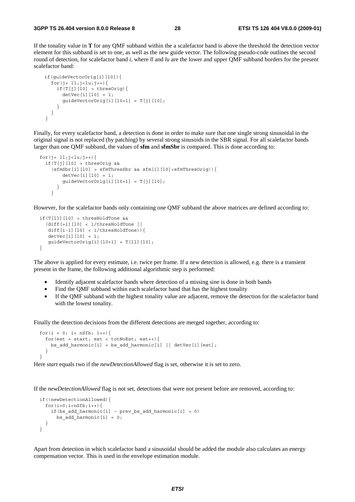If the tonality value in **T** for any QMF subband within the a scalefactor band is above the threshold the detection vector element for this subband is set to one, as well as the new guide vector. The following pseudo-code outlines the second round of detection, for scalefactor band *i*, where *ll* and *lu* are the lower and upper QMF subband borders for the present scalefactor band:

```
 if(guideVectorOrig[i][l0]){ 
      for(j= 11; j - 1u; j + + (if(T[j][10] > thresOrig){
          detVec[i][10] = 1;guideVectorOrig[i][l0+1] = T[j][l0];
 } 
       } 
    }
```
Finally, for every scalefactor band, a detection is done in order to make sure that one single strong sinusoidal in the original signal is not replaced (by patching) by several strong sinusoids in the SBR signal. For all scalefactor bands larger than one QMF subband, the values of **sfm** and **sfmSbr** is compared. This is done according to:

```
for(j= 11; j < l u; j++){
    if(T[j][l0] > thresOrig && 
     (sfmsbr[i][10] > sfmThressbr \& sfm[i][10]<sffmThressOrig)detVec[i][10] = 1;guideVectorOrig[i][10+1] = T[j][10]; } 
      }
```
However, for the scalefactor bands only containing one QMF subband the above matrices are defined according to:

```
 if(T[ll][l0] > thresHoldTone && 
   (diff[+1][l0] < 1/thresHoldTone || 
   diff[i-1][10] < 1/thresHoldTone)){
   detVec[i][10] = 1;guideVectorOrig[i][10+1] = T[11][10]; }
```
The above is applied for every estimate, i.e. twice per frame. If a new detection is allowed, e.g. there is a transient present in the frame, the following additional algorithmic step is performed:

- Identify adjacent scalefactor bands where detection of a missing sine is done in both bands
- Find the QMF subband within each scalefactor band that has the highest tonality
- If the QMF subband with the highest tonality value are adjacent, remove the detection for the scalefactor band with the lowest tonality.

Finally the detection decisions from the different detections are merged together, according to:

```
for(i = 0; i< nSfb; i_{++}){
   for(est = start; est < totNoEst; est++) {
     bs add harmonic[i] = bs add harmonic[i] || detVec[i][est];
 } 
  }
```
Here *start* equals two if the *newDetectionAllowed* flag is set, otherwise it is set to zero.

If the *newDetectionAllowed* flag is not set, detections that were not present before are removed, according to:

```
 if(!newDetectionAllowed){ 
  for(i=0;i<nSfb;i++){
    if(bs add harmonic[i] – prev bs add harmonic[i] > 0)
      bs add harmonic[i] = 0; } 
 }
```
Apart from detection in which scalefactor band a sinusoidal should be added the module also calculates an energy compensation vector. This is used in the envelope estimation module.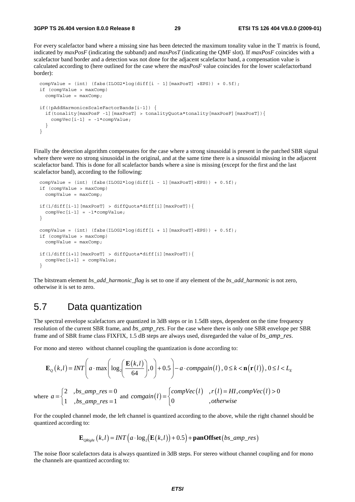For every scalefactor band where a missing sine has been detected the maximum tonality value in the T matrix is found, indicated by *maxPosF* (indicating the subband) and *maxPosT* (indicating the QMF slot). If *maxPosF* coincides with a scalefactor band border and a detection was not done for the adjacent scalefactor band, a compensation value is calculated according to (here outlined for the case where the *maxPosF* value coincides for the lower scalefactorband border):

```
compValue = (int) (fabs(ILOG2*log(diff[i - 1][maxPos] + EPS)) + 0.5f);
 if (compValue > maxComp) 
   compValue = maxComp; 
 if(!pAddHarmonicsScaleFactorBands[i-1]) { 
   if(tonality[maxPosF -1][maxPosT] > tonalityQuota*tonality[maxPosF][maxPosT]){ 
    compVec[i-1] = -1*compValue;
   } 
 }
```
Finally the detection algorithm compensates for the case where a strong sinusoidal is present in the patched SBR signal where there were no strong sinusoidal in the original, and at the same time there is a sinusoidal missing in the adjacent scalefactor band. This is done for all scalefactor bands where a sine is missing (except for the first and the last scalefactor band), according to the following:

```
compValue = (int) (fabs(ILOG2*log(diff[i - 1][maxPosT]+EPS)) + 0.5f);
  if (compValue > maxComp) 
    compValue = maxComp; 
  if(1/diff[i-1][maxPosT] > diffQuota*diff[i][maxPosT]){ 
   compVec[i-1] = -1*compValue;
  } 
 compValue = (int) (fabs(ILOG2*log(diff[i + 1][maxPosT]+EPS)) + 0.5f);
  if (compValue > maxComp) 
    compValue = maxComp; 
  if(1/diff[i+1][maxPosT] > diffQuota*diff[i][maxPosT]){ 
   compVec[i+1] = compValue; }
```
The bitstream element *bs\_add\_harmonic\_flag* is set to one if any element of the *bs\_add\_harmonic* is not zero, otherwise it is set to zero.

### 5.7 Data quantization

The spectral envelope scalefactors are quantized in 3dB steps or in 1.5dB steps, dependent on the time frequency resolution of the current SBR frame, and *bs\_amp\_res*. For the case where there is only one SBR envelope per SBR frame and of SBR frame class FIXFIX, 1.5 dB steps are always used, disregarded the value of *bs\_amp\_res*.

For mono and stereo without channel coupling the quantization is done according to:

$$
\mathbf{E}_{Q}(k,l) = INT \left( a \cdot \max \left( \log_{2} \left( \frac{\mathbf{E}(k,l)}{64} \right), 0 \right) + 0.5 \right) - a \cdot \text{compgain}(l), 0 \le k < \mathbf{n}(\mathbf{r}(l)), 0 \le l < L_{E}
$$
\n
$$
\text{where } a = \begin{cases} 2 & \text{, } bs\_amp\_res = 0 \\ 1 & \text{, } bs\_amp\_res = 1 \end{cases} \text{ and } \text{congain}(l) = \begin{cases} \text{compVec}(l) & \text{, } r(l) = HI, \text{compVec}(l) > 0 \\ 0 & \text{, } \text{otherwise} \end{cases}
$$

For the coupled channel mode, the left channel is quantized according to the above, while the right channel should be quantized according to:

 $\overline{\phantom{a}}$ 

$$
\mathbf{E}_{\textit{QRight}}\left(k,l\right) = \textit{INT}\left(a \cdot \log_2\left(\mathbf{E}\left(k,l\right)\right) + 0.5\right) + \textbf{panOffset}\left(b \textit{s\_amp\_res}\right)
$$

The noise floor scalefactors data is always quantized in 3dB steps. For stereo without channel coupling and for mono the channels are quantized according to: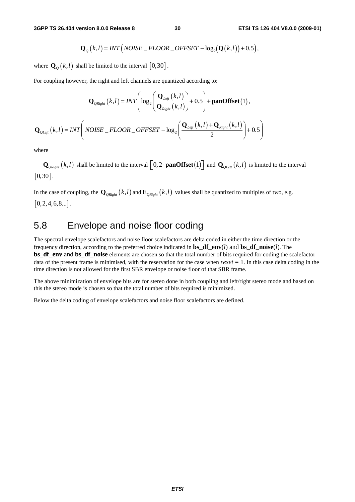$$
\mathbf{Q}_{Q}(k,l)=INT\big(NOISE\_FLOOR\_OFFSET-\log_2(\mathbf{Q}(k,l))+0.5\big),
$$

where  $\mathbf{Q}_{\varrho}(k,l)$  shall be limited to the interval  $[0,30]$ .

For coupling however, the right and left channels are quantized according to:

$$
\mathbf{Q}_{\text{QRight}}(k,l) = INT \Bigg( \log_2 \Bigg( \frac{\mathbf{Q}_{\text{Left}}(k,l)}{\mathbf{Q}_{\text{Right}}(k,l)} \Bigg) + 0.5 \Bigg) + \text{panOffset}(1),
$$
  

$$
\mathbf{Q}_{\text{QLeft}}(k,l) = INT \Bigg( \text{NOISE}_{-} FLOOR_{-}OFFSET - \log_2 \Bigg( \frac{\mathbf{Q}_{\text{Left}}(k,l) + \mathbf{Q}_{\text{Right}}(k,l)}{2} \Bigg) + 0.5 \Bigg)
$$

where

 $\mathbf{Q}_{\text{QRight}}(k,l)$  shall be limited to the interval  $\left[0,2\cdot\text{panOffset}(1)\right]$  and  $\mathbf{Q}_{\text{QLeft}}(k,l)$  is limited to the interval  $[0, 30]$ .

In the case of coupling, the  $\mathbf{Q}_{\text{ORight}}(k,l)$  and  $\mathbf{E}_{\text{ORight}}(k,l)$  values shall be quantized to multiples of two, e.g.  $[0, 2, 4, 6, 8...]$ .

### 5.8 Envelope and noise floor coding

The spectral envelope scalefactors and noise floor scalefactors are delta coded in either the time direction or the frequency direction, according to the preferred choice indicated in **bs\_df\_env**(*l*) and **bs\_df\_noise**(*l*). The **bs\_df\_env** and **bs\_df\_noise** elements are chosen so that the total number of bits required for coding the scalefactor data of the present frame is minimised, with the reservation for the case when *reset* = 1. In this case delta coding in the time direction is not allowed for the first SBR envelope or noise floor of that SBR frame.

The above minimization of envelope bits are for stereo done in both coupling and left/right stereo mode and based on this the stereo mode is chosen so that the total number of bits required is minimized.

Below the delta coding of envelope scalefactors and noise floor scalefactors are defined.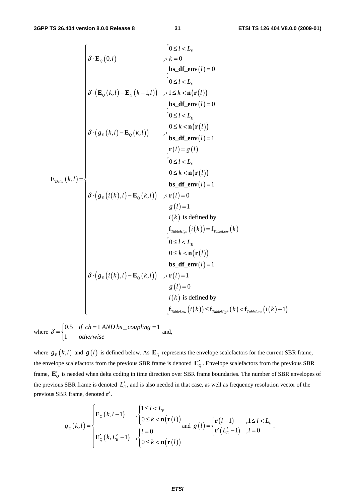$$
\delta \cdot \mathbf{E}_{Q}(0,l) \qquad \qquad \begin{cases}\n0 \leq l < L_{E} \\
k = 0 \\
\mathbf{b} \cdot \mathbf{d} \cdot \mathbf{f}(\mathbf{m}) = 0 \\
\delta \cdot (\mathbf{E}_{Q}(k,l) - \mathbf{E}_{Q}(k-1,l))\n\end{cases}, \begin{cases}\n0 \leq l < L_{E} \\
0 \leq l < L_{E} \\
1 \leq k < \mathbf{n}(\mathbf{r}(l)) \\
\mathbf{b} \cdot \mathbf{d} \cdot \mathbf{f}(\mathbf{m}(l)) = 0 \\
0 \leq l < L_{E} \\
0 \leq k < \mathbf{n}(\mathbf{r}(l))\n\end{cases}
$$
\n
$$
\delta \cdot (g_{E}(k,l) - \mathbf{E}_{Q}(k,l)) \qquad \begin{cases}\n0 \leq l < L_{E} \\
0 \leq k < \mathbf{n}(\mathbf{r}(l)) \\
\mathbf{b} \leq \mathbf{d} \mathbf{f}(\mathbf{m}(l)) = 1 \\
\mathbf{r}(l) = g(l)\n\end{cases}
$$
\n
$$
\delta \cdot (g_{E}(i(k),l) - \mathbf{E}_{Q}(k,l)) \qquad \begin{cases}\n\mathbf{c} \leq l < L_{E} \\
0 \leq k < \mathbf{n}(\mathbf{r}(l)) \\
\mathbf{b} \leq \mathbf{d} \mathbf{f}(\mathbf{m}(l)) = 1 \\
\mathbf{g}(l) = 1 \\
i(k) \text{ is defined by} \\
\mathbf{f}_{\text{subscript}}(i(k)) = \mathbf{f}_{\text{subscript}}(k) \\
0 \leq l < L_{E} \\
0 \leq k < \mathbf{n}(\mathbf{r}(l))\n\end{cases}
$$
\n
$$
\delta \cdot (g_{E}(i(k),l) - \mathbf{E}_{Q}(k,l)) \qquad \begin{cases}\n\mathbf{c} \leq l < L_{E} \\
0 \leq k < \mathbf{n}(\mathbf{r}(l)) \\
\mathbf{b} \leq \mathbf{d} \mathbf{f}(\mathbf{m}(l)) = 1 \\
\mathbf{g}(l) = 0 \\
i(k) \text{ is defined by} \\
\mathbf{f}_{\text{subscript}}(i(k)) \leq \mathbf{f}_{\text{subscript}}(i(k) \leq \
$$

where  $\delta = \begin{cases} 0.5 & \text{if } ch = 1 \text{ AND } bs \text{ \_\_coupling} = 1 \end{cases}$ 1 *if ch* = 1 AND bs \_coupling  $\delta = \begin{cases} 0.5 & \text{if } ch = 1 \text{ AND } bs \_\text{coupling} = 1 \\ 1 & \text{otherwise} \end{cases}$  $\overline{a}$ and,

where  $g_E(k, l)$  and  $g(l)$  is defined below. As  $\mathbf{E}_Q$  represents the envelope scalefactors for the current SBR frame, the envelope scalefactors from the previous SBR frame is denoted  $\mathbf{E}'_Q$ . Envelope scalefactors from the previous SBR frame,  $\mathbf{E}'_0$  is needed when delta coding in time direction over SBR frame boundaries. The number of SBR envelopes of the previous SBR frame is denoted  $L'_{E}$ , and is also needed in that case, as well as frequency resolution vector of the previous SBR frame, denoted **r'**.

$$
g_E(k,l) = \begin{cases} \mathbf{E}_Q(k,l-1) & , \begin{cases} 1 \leq l < L_E \\ 0 \leq k < \mathbf{n}(\mathbf{r}(l)) \end{cases} \\ \mathbf{E}_Q'(k,L_E'-1) & , \begin{cases} l=0 \\ 0 \leq k < \mathbf{n}(\mathbf{r}(l)) \end{cases} \text{ and } g(l) = \begin{cases} \mathbf{r}(l-1) & , 1 \leq l < L_E \\ \mathbf{r}'(L_E'-1) & , l=0 \end{cases}.
$$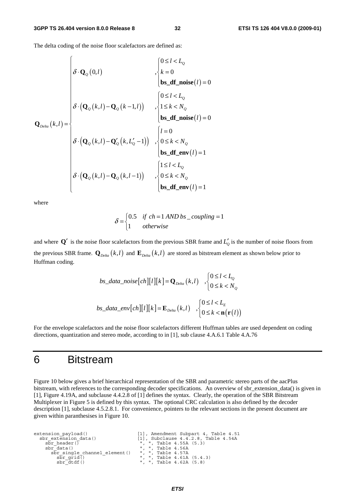The delta coding of the noise floor scalefactors are defined as:

$$
\mathbf{Q}_{\text{Delta}}(k,l) = \begin{cases}\n\delta \cdot \mathbf{Q}_{\text{Q}}(0,l) & , \begin{cases}\n0 \leq l < L_{\text{Q}} \\
k = 0 \\
\mathbf{bs\_df\_noise}(l) = 0\n\end{cases} \\
\delta \cdot (\mathbf{Q}_{\text{Q}}(k,l) - \mathbf{Q}_{\text{Q}}(k-1,l)) & , \begin{cases}\n0 \leq l < L_{\text{Q}} \\
1 \leq k < N_{\text{Q}} \\
\mathbf{bs\_df\_noise}(l) = 0\n\end{cases} \\
\delta \cdot (\mathbf{Q}_{\text{Q}}(k,l) - \mathbf{Q}_{\text{Q}}'(k, L_{\text{Q}}' - 1)) & , \begin{cases}\nl = 0 \\
0 \leq k < N_{\text{Q}} \\
\mathbf{bs\_df\_env}(l) = 1\n\end{cases} \\
\delta \cdot (\mathbf{Q}_{\text{Q}}(k,l) - \mathbf{Q}_{\text{Q}}(k, l-1)) & , \begin{cases}\n1 \leq l < L_{\text{Q}} \\
0 \leq k < N_{\text{Q}} \\
\mathbf{bs\_df\_env}(l) = 1\n\end{cases}\n\end{cases}
$$

 $\overline{a}$ 

where

$$
\delta = \begin{cases} 0.5 & \text{if } ch = 1 \text{ AND } bs\_coupling = 1\\ 1 & \text{otherwise} \end{cases}
$$

and where  $Q'$  is the noise floor scalefactors from the previous SBR frame and  $L'_0$  is the number of noise floors from the previous SBR frame.  $\mathbf{Q}_{Delta}(k,l)$  and  $\mathbf{E}_{Delta}(k,l)$  are stored as bitstream element as shown below prior to Huffman coding.

$$
bs\_data\_noise[ch][l][k] = \mathbf{Q}_{Delta}(k, l) , \begin{cases} 0 \le l < L_0 \\ 0 \le k < N_0 \end{cases}
$$
\n
$$
bs\_data\_env[ch][l][k] = \mathbf{E}_{Delta}(k, l) , \begin{cases} 0 \le l < L_E \\ 0 \le k < \mathbf{n}(\mathbf{r}(l)) \end{cases}
$$

For the envelope scalefactors and the noise floor scalefactors different Huffman tables are used dependent on coding directions, quantization and stereo mode, according to in [1], sub clause 4.A.6.1 Table 4.A.76

### 6 Bitstream

Figure 10 below gives a brief hierarchical representation of the SBR and parametric stereo parts of the aacPlus bitstream, with references to the corresponding decoder specifications. An overview of sbr\_extension\_data() is given in [1], Figure 4.19A, and subclause 4.4.2.8 of [1] defines the syntax. Clearly, the operation of the SBR Bitstream Multiplexer in Figure 5 is defined by this syntax. The optional CRC calculation is also defined by the decoder description [1], subclause 4.5.2.8.1. For convenience, pointers to the relevant sections in the present document are given within paranthesises in Figure 10.

```
extension_payload() [1], Amendment Subpart 4, Table 4.51<br>sbr extension data() [1], Subclause 4.4.2.8, Table 4.54A
         \begin{array}{lll} \text{for extension data()} & \text{if } 1, \text{ Subclause 4.4.2.8, Table 4.54A} \\ \text{sbr header(} & \text{``, ", Table 4.55A (5.3)} \\ \text{sbr data()} & \text{'', ", Table 4.56A} \end{array}\overline{\text{sbr}}\text{-} \text{header}(\overline{\text{b}}) = \begin{bmatrix} 0 & 0 & 0 \\ 0 & 1 & 0 \\ 0 & 0 & 1 \end{bmatrix}, ", Table 4.55A (5.3)
              sbr_single_channel_element() ", ", Table 4.57A<br>sbr_grid() ", ", Table 4.57A<br>sbr_grid() ", ", Table 4.61A<br>sbr_dtdf() ", ", Table 4.62A
\overline{\text{sbr\_grid}} ) \overline{\text{c}} , ", Table 4.61A (5.4.3)<br>sbr_dtdf() = \overline{\text{c}} , ", Table 4.62A (5.8)
```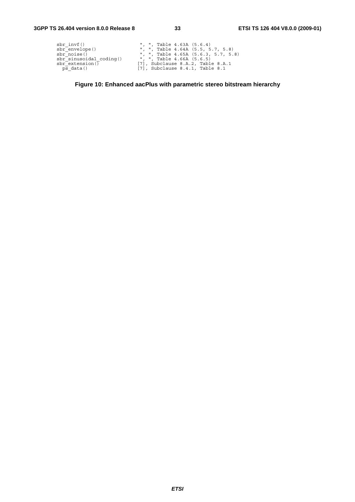| $sbr$ invf $()$                  | ", ", Table $4.63A$ $(5.6.4)$           |
|----------------------------------|-----------------------------------------|
| sbr_envelope()                   | ", ", Table $4.64A$ $(5.5, 5.7, 5.8)$   |
| sbr noise()                      | ", ", Table $4.65A$ $(5.6.3, 5.7, 5.8)$ |
| $\text{sbr}$ sinusoidal coding() | ", ", Table 4.66A (5.6.5)               |
| sbr extension $\overline{()}$    | $[7]$ , Subclause 8.A.2, Table 8.A.1    |
| ps data()                        | $[7]$ , Subclause 8.4.1, Table 8.1      |

**Figure 10: Enhanced aacPlus with parametric stereo bitstream hierarchy**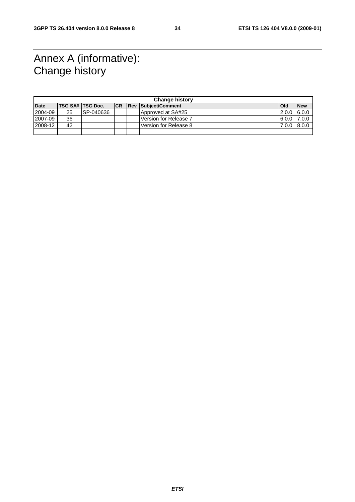# Annex A (informative): Change history

| <b>Change history</b> |    |                         |           |  |                            |            |            |
|-----------------------|----|-------------------------|-----------|--|----------------------------|------------|------------|
| <b>Date</b>           |    | <b>TSG SA# TSG Doc.</b> | <b>CR</b> |  | <b>Rev Subject/Comment</b> | <b>Old</b> | <b>New</b> |
| 2004-09               | 25 | ISP-040636              |           |  | Approved at SA#25          | 2.0.0      | 6.0.0      |
| 2007-09               | 36 |                         |           |  | Version for Release 7      | 16.0.0     | 7.0.0      |
| 2008-12               | 42 |                         |           |  | Version for Release 8      | 7.0.0      | 8.0.0      |
|                       |    |                         |           |  |                            |            |            |